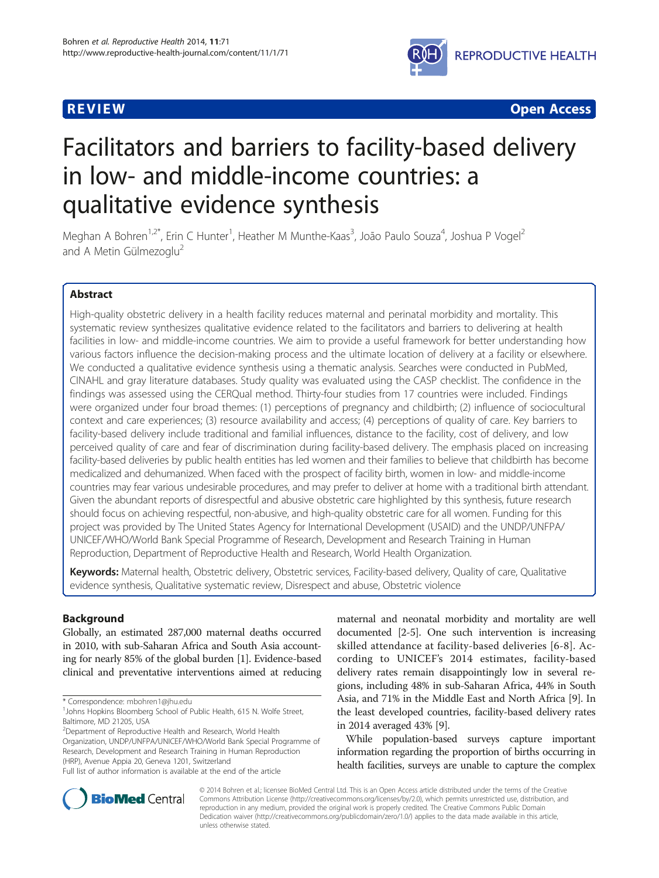

**REVIEW CONSTRUCTION CONSTRUCTION CONSTRUCTS** 

# Facilitators and barriers to facility-based delivery in low- and middle-income countries: a qualitative evidence synthesis

Meghan A Bohren<sup>1,2\*</sup>, Erin C Hunter<sup>1</sup>, Heather M Munthe-Kaas<sup>3</sup>, João Paulo Souza<sup>4</sup>, Joshua P Vogel<sup>2</sup> and A Metin Gülmezoglu<sup>2</sup>

## Abstract

High-quality obstetric delivery in a health facility reduces maternal and perinatal morbidity and mortality. This systematic review synthesizes qualitative evidence related to the facilitators and barriers to delivering at health facilities in low- and middle-income countries. We aim to provide a useful framework for better understanding how various factors influence the decision-making process and the ultimate location of delivery at a facility or elsewhere. We conducted a qualitative evidence synthesis using a thematic analysis. Searches were conducted in PubMed, CINAHL and gray literature databases. Study quality was evaluated using the CASP checklist. The confidence in the findings was assessed using the CERQual method. Thirty-four studies from 17 countries were included. Findings were organized under four broad themes: (1) perceptions of pregnancy and childbirth; (2) influence of sociocultural context and care experiences; (3) resource availability and access; (4) perceptions of quality of care. Key barriers to facility-based delivery include traditional and familial influences, distance to the facility, cost of delivery, and low perceived quality of care and fear of discrimination during facility-based delivery. The emphasis placed on increasing facility-based deliveries by public health entities has led women and their families to believe that childbirth has become medicalized and dehumanized. When faced with the prospect of facility birth, women in low- and middle-income countries may fear various undesirable procedures, and may prefer to deliver at home with a traditional birth attendant. Given the abundant reports of disrespectful and abusive obstetric care highlighted by this synthesis, future research should focus on achieving respectful, non-abusive, and high-quality obstetric care for all women. Funding for this project was provided by The United States Agency for International Development (USAID) and the UNDP/UNFPA/ UNICEF/WHO/World Bank Special Programme of Research, Development and Research Training in Human Reproduction, Department of Reproductive Health and Research, World Health Organization.

Keywords: Maternal health, Obstetric delivery, Obstetric services, Facility-based delivery, Quality of care, Qualitative evidence synthesis, Qualitative systematic review, Disrespect and abuse, Obstetric violence

## Background

Globally, an estimated 287,000 maternal deaths occurred in 2010, with sub-Saharan Africa and South Asia accounting for nearly 85% of the global burden [\[1\]](#page-15-0). Evidence-based clinical and preventative interventions aimed at reducing

\* Correspondence: [mbohren1@jhu.edu](mailto:mbohren1@jhu.edu) <sup>1</sup>

<sup>2</sup>Department of Reproductive Health and Research, World Health

Organization, UNDP/UNFPA/UNICEF/WHO/World Bank Special Programme of Research, Development and Research Training in Human Reproduction (HRP), Avenue Appia 20, Geneva 1201, Switzerland

maternal and neonatal morbidity and mortality are well documented [[2-5\]](#page-15-0). One such intervention is increasing skilled attendance at facility-based deliveries [[6-8\]](#page-15-0). According to UNICEF's 2014 estimates, facility-based delivery rates remain disappointingly low in several regions, including 48% in sub-Saharan Africa, 44% in South Asia, and 71% in the Middle East and North Africa [\[9](#page-15-0)]. In the least developed countries, facility-based delivery rates in 2014 averaged 43% [[9\]](#page-15-0).

While population-based surveys capture important information regarding the proportion of births occurring in health facilities, surveys are unable to capture the complex



© 2014 Bohren et al.; licensee BioMed Central Ltd. This is an Open Access article distributed under the terms of the Creative Commons Attribution License [\(http://creativecommons.org/licenses/by/2.0\)](http://creativecommons.org/licenses/by/2.0), which permits unrestricted use, distribution, and reproduction in any medium, provided the original work is properly credited. The Creative Commons Public Domain Dedication waiver [\(http://creativecommons.org/publicdomain/zero/1.0/](http://creativecommons.org/publicdomain/zero/1.0/)) applies to the data made available in this article, unless otherwise stated.

<sup>&</sup>lt;sup>1</sup> Johns Hopkins Bloomberg School of Public Health, 615 N. Wolfe Street, Baltimore, MD 21205, USA

Full list of author information is available at the end of the article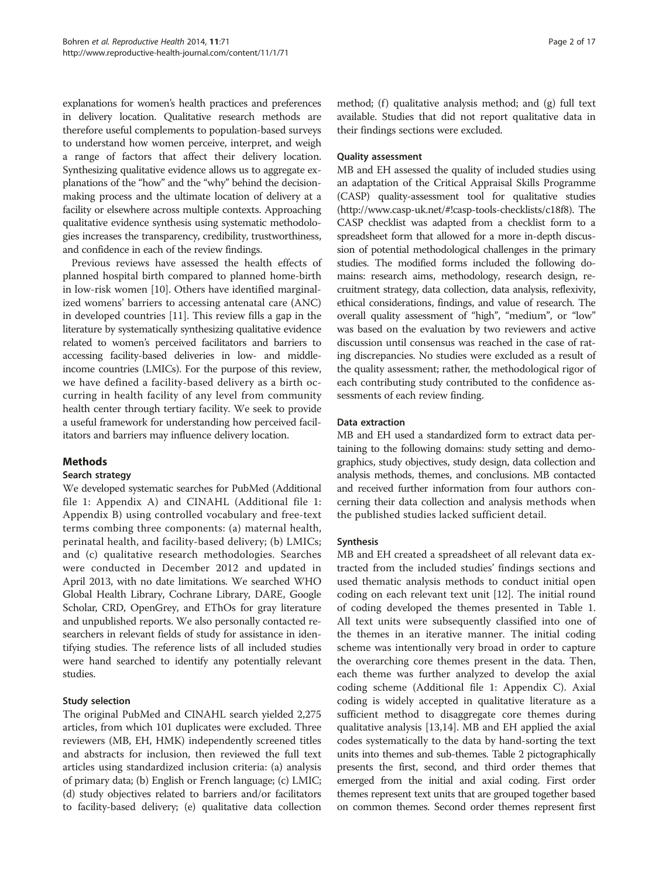explanations for women's health practices and preferences in delivery location. Qualitative research methods are therefore useful complements to population-based surveys to understand how women perceive, interpret, and weigh a range of factors that affect their delivery location. Synthesizing qualitative evidence allows us to aggregate explanations of the "how" and the "why" behind the decisionmaking process and the ultimate location of delivery at a facility or elsewhere across multiple contexts. Approaching qualitative evidence synthesis using systematic methodologies increases the transparency, credibility, trustworthiness, and confidence in each of the review findings.

Previous reviews have assessed the health effects of planned hospital birth compared to planned home-birth in low-risk women [[10](#page-15-0)]. Others have identified marginalized womens' barriers to accessing antenatal care (ANC) in developed countries [[11\]](#page-15-0). This review fills a gap in the literature by systematically synthesizing qualitative evidence related to women's perceived facilitators and barriers to accessing facility-based deliveries in low- and middleincome countries (LMICs). For the purpose of this review, we have defined a facility-based delivery as a birth occurring in health facility of any level from community health center through tertiary facility. We seek to provide a useful framework for understanding how perceived facilitators and barriers may influence delivery location.

## Methods

## Search strategy

We developed systematic searches for PubMed (Additional file [1:](#page-15-0) Appendix A) and CINAHL (Additional file [1](#page-15-0): Appendix B) using controlled vocabulary and free-text terms combing three components: (a) maternal health, perinatal health, and facility-based delivery; (b) LMICs; and (c) qualitative research methodologies. Searches were conducted in December 2012 and updated in April 2013, with no date limitations. We searched WHO Global Health Library, Cochrane Library, DARE, Google Scholar, CRD, OpenGrey, and EThOs for gray literature and unpublished reports. We also personally contacted researchers in relevant fields of study for assistance in identifying studies. The reference lists of all included studies were hand searched to identify any potentially relevant studies.

## Study selection

The original PubMed and CINAHL search yielded 2,275 articles, from which 101 duplicates were excluded. Three reviewers (MB, EH, HMK) independently screened titles and abstracts for inclusion, then reviewed the full text articles using standardized inclusion criteria: (a) analysis of primary data; (b) English or French language; (c) LMIC; (d) study objectives related to barriers and/or facilitators to facility-based delivery; (e) qualitative data collection

method; (f) qualitative analysis method; and  $(g)$  full text available. Studies that did not report qualitative data in their findings sections were excluded.

## Quality assessment

MB and EH assessed the quality of included studies using an adaptation of the Critical Appraisal Skills Programme (CASP) quality-assessment tool for qualitative studies (<http://www.casp-uk.net/#!casp-tools-checklists/c18f8>). The CASP checklist was adapted from a checklist form to a spreadsheet form that allowed for a more in-depth discussion of potential methodological challenges in the primary studies. The modified forms included the following domains: research aims, methodology, research design, recruitment strategy, data collection, data analysis, reflexivity, ethical considerations, findings, and value of research. The overall quality assessment of "high", "medium", or "low" was based on the evaluation by two reviewers and active discussion until consensus was reached in the case of rating discrepancies. No studies were excluded as a result of the quality assessment; rather, the methodological rigor of each contributing study contributed to the confidence assessments of each review finding.

## Data extraction

MB and EH used a standardized form to extract data pertaining to the following domains: study setting and demographics, study objectives, study design, data collection and analysis methods, themes, and conclusions. MB contacted and received further information from four authors concerning their data collection and analysis methods when the published studies lacked sufficient detail.

## Synthesis

MB and EH created a spreadsheet of all relevant data extracted from the included studies' findings sections and used thematic analysis methods to conduct initial open coding on each relevant text unit [\[12](#page-15-0)]. The initial round of coding developed the themes presented in Table [1](#page-2-0). All text units were subsequently classified into one of the themes in an iterative manner. The initial coding scheme was intentionally very broad in order to capture the overarching core themes present in the data. Then, each theme was further analyzed to develop the axial coding scheme (Additional file [1](#page-15-0): Appendix C). Axial coding is widely accepted in qualitative literature as a sufficient method to disaggregate core themes during qualitative analysis [[13,14\]](#page-15-0). MB and EH applied the axial codes systematically to the data by hand-sorting the text units into themes and sub-themes. Table [2](#page-3-0) pictographically presents the first, second, and third order themes that emerged from the initial and axial coding. First order themes represent text units that are grouped together based on common themes. Second order themes represent first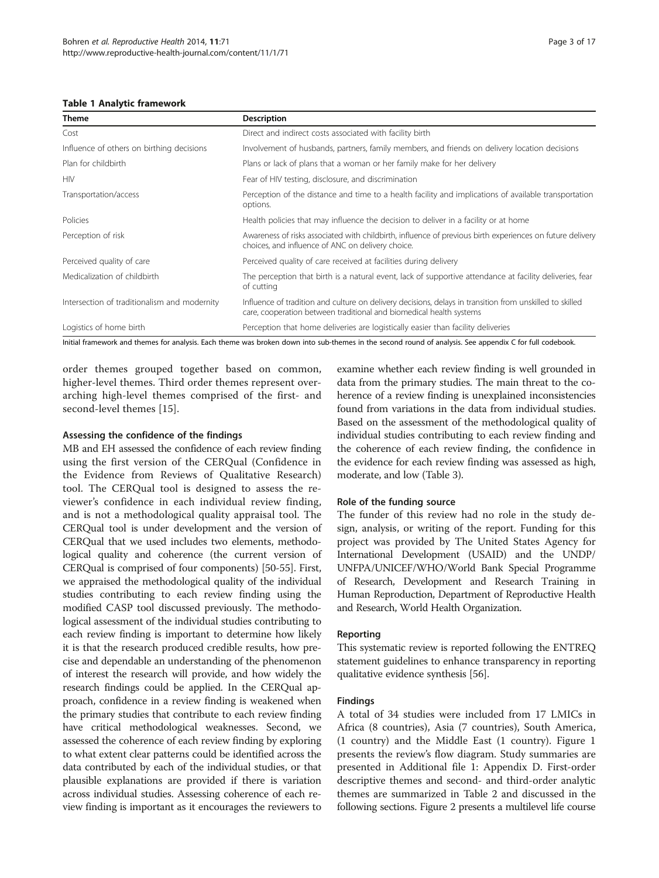#### <span id="page-2-0"></span>Table 1 Analytic framework

| Theme                                        | <b>Description</b>                                                                                                                                                              |
|----------------------------------------------|---------------------------------------------------------------------------------------------------------------------------------------------------------------------------------|
| Cost                                         | Direct and indirect costs associated with facility birth                                                                                                                        |
| Influence of others on birthing decisions    | Involvement of husbands, partners, family members, and friends on delivery location decisions                                                                                   |
| Plan for childbirth                          | Plans or lack of plans that a woman or her family make for her delivery                                                                                                         |
| <b>HIV</b>                                   | Fear of HIV testing, disclosure, and discrimination                                                                                                                             |
| Transportation/access                        | Perception of the distance and time to a health facility and implications of available transportation<br>options.                                                               |
| Policies                                     | Health policies that may influence the decision to deliver in a facility or at home                                                                                             |
| Perception of risk                           | Awareness of risks associated with childbirth, influence of previous birth experiences on future delivery<br>choices, and influence of ANC on delivery choice.                  |
| Perceived quality of care                    | Perceived quality of care received at facilities during delivery                                                                                                                |
| Medicalization of childbirth                 | The perception that birth is a natural event, lack of supportive attendance at facility deliveries, fear<br>of cutting                                                          |
| Intersection of traditionalism and modernity | Influence of tradition and culture on delivery decisions, delays in transition from unskilled to skilled<br>care, cooperation between traditional and biomedical health systems |
| Logistics of home birth                      | Perception that home deliveries are logistically easier than facility deliveries                                                                                                |

Initial framework and themes for analysis. Each theme was broken down into sub-themes in the second round of analysis. See appendix C for full codebook.

order themes grouped together based on common, higher-level themes. Third order themes represent overarching high-level themes comprised of the first- and second-level themes [[15\]](#page-15-0).

#### Assessing the confidence of the findings

MB and EH assessed the confidence of each review finding using the first version of the CERQual (Confidence in the Evidence from Reviews of Qualitative Research) tool. The CERQual tool is designed to assess the reviewer's confidence in each individual review finding, and is not a methodological quality appraisal tool. The CERQual tool is under development and the version of CERQual that we used includes two elements, methodological quality and coherence (the current version of CERQual is comprised of four components) [[50](#page-16-0)-[55](#page-16-0)]. First, we appraised the methodological quality of the individual studies contributing to each review finding using the modified CASP tool discussed previously. The methodological assessment of the individual studies contributing to each review finding is important to determine how likely it is that the research produced credible results, how precise and dependable an understanding of the phenomenon of interest the research will provide, and how widely the research findings could be applied. In the CERQual approach, confidence in a review finding is weakened when the primary studies that contribute to each review finding have critical methodological weaknesses. Second, we assessed the coherence of each review finding by exploring to what extent clear patterns could be identified across the data contributed by each of the individual studies, or that plausible explanations are provided if there is variation across individual studies. Assessing coherence of each review finding is important as it encourages the reviewers to

examine whether each review finding is well grounded in data from the primary studies. The main threat to the coherence of a review finding is unexplained inconsistencies found from variations in the data from individual studies. Based on the assessment of the methodological quality of individual studies contributing to each review finding and the coherence of each review finding, the confidence in the evidence for each review finding was assessed as high, moderate, and low (Table [3\)](#page-5-0).

#### Role of the funding source

The funder of this review had no role in the study design, analysis, or writing of the report. Funding for this project was provided by The United States Agency for International Development (USAID) and the UNDP/ UNFPA/UNICEF/WHO/World Bank Special Programme of Research, Development and Research Training in Human Reproduction, Department of Reproductive Health and Research, World Health Organization.

#### Reporting

This systematic review is reported following the ENTREQ statement guidelines to enhance transparency in reporting qualitative evidence synthesis [\[56](#page-16-0)].

#### Findings

A total of 34 studies were included from 17 LMICs in Africa (8 countries), Asia (7 countries), South America, (1 country) and the Middle East (1 country). Figure [1](#page-11-0) presents the review's flow diagram. Study summaries are presented in Additional file [1](#page-15-0): Appendix D. First-order descriptive themes and second- and third-order analytic themes are summarized in Table [2](#page-3-0) and discussed in the following sections. Figure [2](#page-13-0) presents a multilevel life course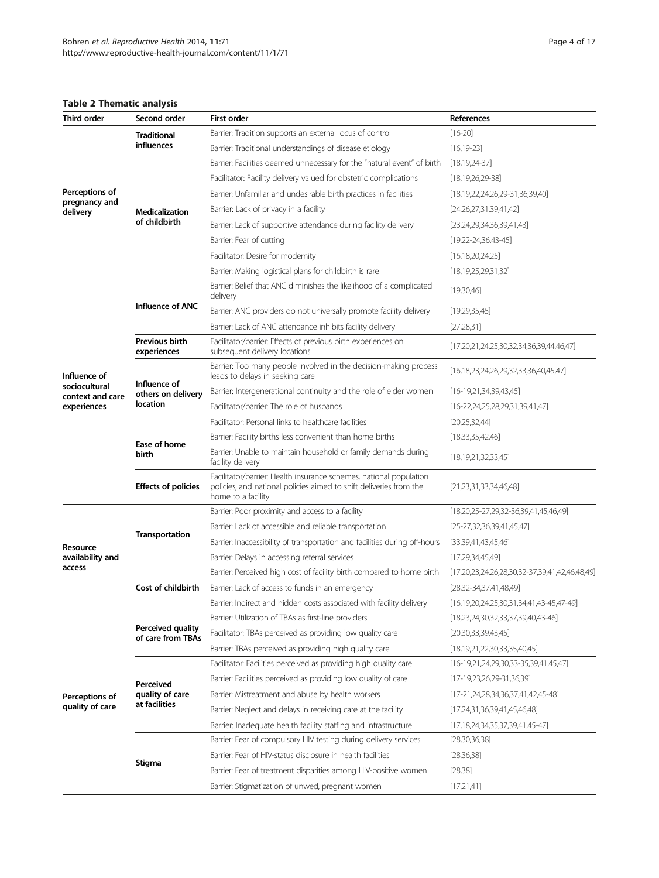## <span id="page-3-0"></span>Table 2 Thematic analysis

| <b>Third order</b>                | Second order                           | <b>First order</b>                                                                                                                                             | References                                               |
|-----------------------------------|----------------------------------------|----------------------------------------------------------------------------------------------------------------------------------------------------------------|----------------------------------------------------------|
|                                   | <b>Traditional</b>                     | Barrier: Tradition supports an external locus of control                                                                                                       | $[16 - 20]$                                              |
|                                   | influences                             | Barrier: Traditional understandings of disease etiology                                                                                                        | $[16, 19 - 23]$                                          |
|                                   |                                        | Barrier: Facilities deemed unnecessary for the "natural event" of birth                                                                                        | $[18, 19, 24 - 37]$                                      |
|                                   |                                        | Facilitator: Facility delivery valued for obstetric complications                                                                                              | $[18, 19, 26, 29 - 38]$                                  |
| Perceptions of                    |                                        | Barrier: Unfamiliar and undesirable birth practices in facilities                                                                                              | $[18, 19, 22, 24, 26, 29 - 31, 36, 39, 40]$              |
| pregnancy and<br>delivery         | Medicalization                         | Barrier: Lack of privacy in a facility                                                                                                                         | [24,26,27,31,39,41,42]                                   |
|                                   | of childbirth                          | Barrier: Lack of supportive attendance during facility delivery                                                                                                | [23, 24, 29, 34, 36, 39, 41, 43]                         |
|                                   |                                        | Barrier: Fear of cutting                                                                                                                                       | $[19,22-24,36,43-45]$                                    |
|                                   |                                        | Facilitator: Desire for modernity                                                                                                                              | [16, 18, 20, 24, 25]                                     |
|                                   |                                        | Barrier: Making logistical plans for childbirth is rare                                                                                                        | [18, 19, 25, 29, 31, 32]                                 |
|                                   |                                        | Barrier: Belief that ANC diminishes the likelihood of a complicated<br>delivery                                                                                | [19,30,46]                                               |
|                                   | <b>Influence of ANC</b>                | Barrier: ANC providers do not universally promote facility delivery                                                                                            | [19,29,35,45]                                            |
|                                   |                                        | Barrier: Lack of ANC attendance inhibits facility delivery                                                                                                     | [27, 28, 31]                                             |
|                                   | Previous birth<br>experiences          | Facilitator/barrier: Effects of previous birth experiences on<br>subsequent delivery locations                                                                 | $[17,20,21,24,25,30,32,34,36,39,44,46,47]$               |
| Influence of                      | Influence of                           | Barrier: Too many people involved in the decision-making process<br>leads to delays in seeking care                                                            | $[16, 18, 23, 24, 26, 29, 32, 33, 36, 40, 45, 47]$       |
| sociocultural<br>context and care | others on delivery                     | Barrier: Intergenerational continuity and the role of elder women                                                                                              | $[16-19,21,34,39,43,45]$                                 |
| experiences                       | location                               | Facilitator/barrier: The role of husbands                                                                                                                      | $[16-22, 24, 25, 28, 29, 31, 39, 41, 47]$                |
|                                   |                                        | Facilitator: Personal links to healthcare facilities                                                                                                           | [20, 25, 32, 44]                                         |
|                                   | Ease of home<br>birth                  | Barrier: Facility births less convenient than home births                                                                                                      | [18, 33, 35, 42, 46]                                     |
|                                   |                                        | Barrier: Unable to maintain household or family demands during<br>facility delivery                                                                            | [18, 19, 21, 32, 33, 45]                                 |
|                                   | <b>Effects of policies</b>             | Facilitator/barrier: Health insurance schemes, national population<br>policies, and national policies aimed to shift deliveries from the<br>home to a facility | [21, 23, 31, 33, 34, 46, 48]                             |
|                                   |                                        | Barrier: Poor proximity and access to a facility                                                                                                               | $[18,20,25-27,29,32-36,39,41,45,46,49]$                  |
|                                   | Transportation                         | Barrier: Lack of accessible and reliable transportation                                                                                                        | $[25-27,32,36,39,41,45,47]$                              |
| Resource                          |                                        | Barrier: Inaccessibility of transportation and facilities during off-hours                                                                                     | [33,39,41,43,45,46]                                      |
| availability and                  |                                        | Barrier: Delays in accessing referral services                                                                                                                 | [17,29,34,45,49]                                         |
| access                            |                                        | Barrier: Perceived high cost of facility birth compared to home birth                                                                                          | [17,20,23,24,26,28,30,32-37,39,41,42,46,48,49]           |
|                                   | Cost of childbirth                     | Barrier: Lack of access to funds in an emergency                                                                                                               | [28,32-34,37,41,48,49]                                   |
|                                   |                                        | Barrier: Indirect and hidden costs associated with facility delivery                                                                                           | $[16, 19, 20, 24, 25, 30, 31, 34, 41, 43 - 45, 47 - 49]$ |
|                                   |                                        | Barrier: Utilization of TBAs as first-line providers                                                                                                           | [18,23,24,30,32,33,37,39,40,43-46]                       |
|                                   | Perceived quality<br>of care from TBAs | Facilitator: TBAs perceived as providing low quality care                                                                                                      | [20,30,33,39,43,45]                                      |
|                                   |                                        | Barrier: TBAs perceived as providing high quality care                                                                                                         | [18, 19, 21, 22, 30, 33, 35, 40, 45]                     |
|                                   |                                        | Facilitator: Facilities perceived as providing high quality care                                                                                               | [16-19,21,24,29,30,33-35,39,41,45,47]                    |
|                                   | Perceived                              | Barrier: Facilities perceived as providing low quality of care                                                                                                 | $[17-19,23,26,29-31,36,39]$                              |
| Perceptions of                    | quality of care                        | Barrier: Mistreatment and abuse by health workers                                                                                                              | $[17-21, 24, 28, 34, 36, 37, 41, 42, 45-48]$             |
| quality of care                   | at facilities                          | Barrier: Neglect and delays in receiving care at the facility                                                                                                  | [17,24,31,36,39,41,45,46,48]                             |
|                                   |                                        | Barrier: Inadequate health facility staffing and infrastructure                                                                                                | $[17, 18, 24, 34, 35, 37, 39, 41, 45 - 47]$              |
|                                   |                                        | Barrier: Fear of compulsory HIV testing during delivery services                                                                                               | [28, 30, 36, 38]                                         |
|                                   | Stigma                                 | Barrier: Fear of HIV-status disclosure in health facilities                                                                                                    | [28, 36, 38]                                             |
|                                   |                                        | Barrier: Fear of treatment disparities among HIV-positive women                                                                                                | [28, 38]                                                 |
|                                   |                                        | Barrier: Stigmatization of unwed, pregnant women                                                                                                               | [17,21,41]                                               |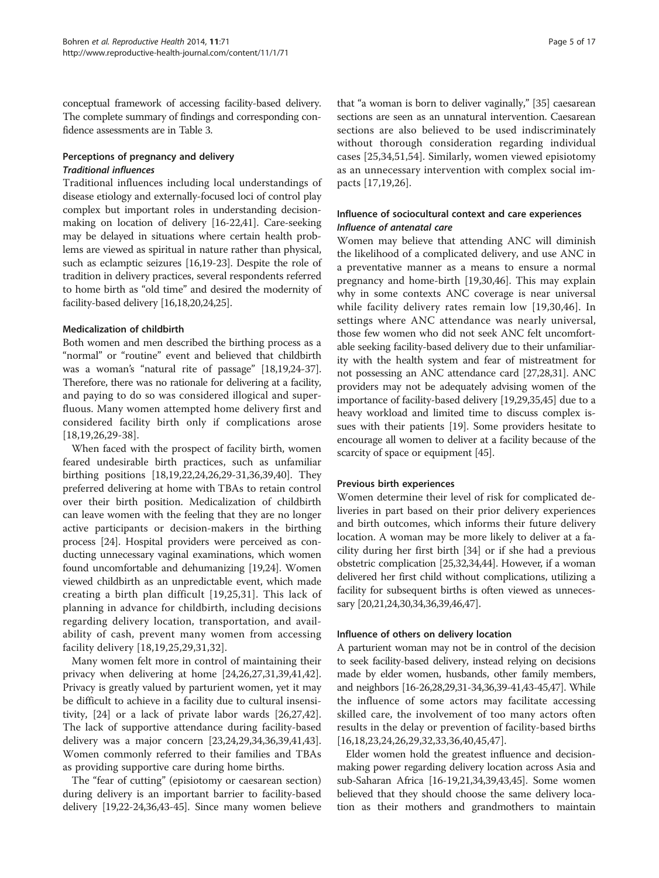conceptual framework of accessing facility-based delivery. The complete summary of findings and corresponding confidence assessments are in Table [3](#page-5-0).

## Perceptions of pregnancy and delivery Traditional influences

Traditional influences including local understandings of disease etiology and externally-focused loci of control play complex but important roles in understanding decisionmaking on location of delivery [\[16-22](#page-15-0)[,41\]](#page-16-0). Care-seeking may be delayed in situations where certain health problems are viewed as spiritual in nature rather than physical, such as eclamptic seizures [[16,19](#page-15-0)-[23](#page-15-0)]. Despite the role of tradition in delivery practices, several respondents referred to home birth as "old time" and desired the modernity of facility-based delivery [\[16,18,20,24,25\]](#page-15-0).

## Medicalization of childbirth

Both women and men described the birthing process as a "normal" or "routine" event and believed that childbirth was a woman's "natural rite of passage" [\[18,19,24](#page-15-0)-[37](#page-16-0)]. Therefore, there was no rationale for delivering at a facility, and paying to do so was considered illogical and superfluous. Many women attempted home delivery first and considered facility birth only if complications arose [[18,19,26](#page-15-0),[29-](#page-15-0)[38](#page-16-0)].

When faced with the prospect of facility birth, women feared undesirable birth practices, such as unfamiliar birthing positions [\[18,19,22,24,26,29-31](#page-15-0)[,36,39,40](#page-16-0)]. They preferred delivering at home with TBAs to retain control over their birth position. Medicalization of childbirth can leave women with the feeling that they are no longer active participants or decision-makers in the birthing process [\[24\]](#page-15-0). Hospital providers were perceived as conducting unnecessary vaginal examinations, which women found uncomfortable and dehumanizing [[19,24](#page-15-0)]. Women viewed childbirth as an unpredictable event, which made creating a birth plan difficult [[19,25](#page-15-0),[31\]](#page-15-0). This lack of planning in advance for childbirth, including decisions regarding delivery location, transportation, and availability of cash, prevent many women from accessing facility delivery [[18](#page-15-0),[19,25](#page-15-0),[29,31](#page-15-0),[32\]](#page-15-0).

Many women felt more in control of maintaining their privacy when delivering at home [[24](#page-15-0),[26](#page-15-0),[27](#page-15-0),[31](#page-15-0)[,39,41,42](#page-16-0)]. Privacy is greatly valued by parturient women, yet it may be difficult to achieve in a facility due to cultural insensitivity, [\[24\]](#page-15-0) or a lack of private labor wards [\[26,27](#page-15-0)[,42](#page-16-0)]. The lack of supportive attendance during facility-based delivery was a major concern [[23](#page-15-0),[24](#page-15-0),[29](#page-15-0),[34](#page-15-0),[36,39,41,43](#page-16-0)]. Women commonly referred to their families and TBAs as providing supportive care during home births.

The "fear of cutting" (episiotomy or caesarean section) during delivery is an important barrier to facility-based delivery [\[19,22-24,](#page-15-0)[36,43](#page-16-0)-[45](#page-16-0)]. Since many women believe that "a woman is born to deliver vaginally," [\[35](#page-16-0)] caesarean sections are seen as an unnatural intervention. Caesarean sections are also believed to be used indiscriminately without thorough consideration regarding individual cases [[25,34](#page-15-0),[51,54\]](#page-16-0). Similarly, women viewed episiotomy as an unnecessary intervention with complex social impacts [[17,19](#page-15-0),[26\]](#page-15-0).

## Influence of sociocultural context and care experiences Influence of antenatal care

Women may believe that attending ANC will diminish the likelihood of a complicated delivery, and use ANC in a preventative manner as a means to ensure a normal pregnancy and home-birth [\[19,30](#page-15-0)[,46](#page-16-0)]. This may explain why in some contexts ANC coverage is near universal while facility delivery rates remain low [\[19](#page-15-0),[30](#page-15-0)[,46\]](#page-16-0). In settings where ANC attendance was nearly universal, those few women who did not seek ANC felt uncomfortable seeking facility-based delivery due to their unfamiliarity with the health system and fear of mistreatment for not possessing an ANC attendance card [[27](#page-15-0),[28,31\]](#page-15-0). ANC providers may not be adequately advising women of the importance of facility-based delivery [\[19,29,](#page-15-0)[35,45](#page-16-0)] due to a heavy workload and limited time to discuss complex issues with their patients [\[19\]](#page-15-0). Some providers hesitate to encourage all women to deliver at a facility because of the scarcity of space or equipment [\[45\]](#page-16-0).

## Previous birth experiences

Women determine their level of risk for complicated deliveries in part based on their prior delivery experiences and birth outcomes, which informs their future delivery location. A woman may be more likely to deliver at a facility during her first birth [[34\]](#page-15-0) or if she had a previous obstetric complication [\[25,32,34](#page-15-0)[,44](#page-16-0)]. However, if a woman delivered her first child without complications, utilizing a facility for subsequent births is often viewed as unnecessary [\[20,21,24,30,34,](#page-15-0)[36](#page-16-0),[39,46,47\]](#page-16-0).

## Influence of others on delivery location

A parturient woman may not be in control of the decision to seek facility-based delivery, instead relying on decisions made by elder women, husbands, other family members, and neighbors [\[16-26,28,29,31-34](#page-15-0)[,36,39](#page-16-0)-[41,43-45,47\]](#page-16-0). While the influence of some actors may facilitate accessing skilled care, the involvement of too many actors often results in the delay or prevention of facility-based births [[16,18,23](#page-15-0),[24,26,29,32](#page-15-0),[33,](#page-15-0)[36,40,45](#page-16-0),[47\]](#page-16-0).

Elder women hold the greatest influence and decisionmaking power regarding delivery location across Asia and sub-Saharan Africa [[16](#page-15-0)-[19,21,34,](#page-15-0)[39,43,45\]](#page-16-0). Some women believed that they should choose the same delivery location as their mothers and grandmothers to maintain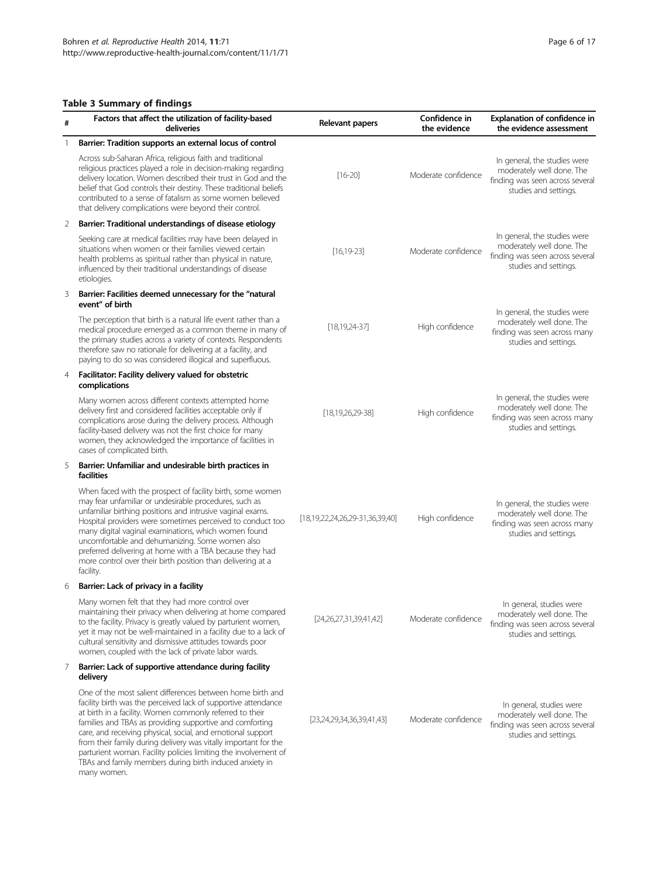## <span id="page-5-0"></span>Table 3 Summary of findings

| # | Factors that affect the utilization of facility-based<br>deliveries                                                                                                                                                                                                                                                                                                                                                                                                                                                                 | Relevant papers                           | Confidence in<br>the evidence | <b>Explanation of confidence in</b><br>the evidence assessment                                                        |
|---|-------------------------------------------------------------------------------------------------------------------------------------------------------------------------------------------------------------------------------------------------------------------------------------------------------------------------------------------------------------------------------------------------------------------------------------------------------------------------------------------------------------------------------------|-------------------------------------------|-------------------------------|-----------------------------------------------------------------------------------------------------------------------|
| 1 | Barrier: Tradition supports an external locus of control                                                                                                                                                                                                                                                                                                                                                                                                                                                                            |                                           |                               |                                                                                                                       |
|   | Across sub-Saharan Africa, religious faith and traditional<br>religious practices played a role in decision-making regarding<br>delivery location. Women described their trust in God and the<br>belief that God controls their destiny. These traditional beliefs<br>contributed to a sense of fatalism as some women believed<br>that delivery complications were beyond their control.                                                                                                                                           | $[16 - 20]$                               | Moderate confidence           | In general, the studies were<br>moderately well done. The<br>finding was seen across several<br>studies and settings. |
| 2 | Barrier: Traditional understandings of disease etiology                                                                                                                                                                                                                                                                                                                                                                                                                                                                             |                                           |                               |                                                                                                                       |
|   | Seeking care at medical facilities may have been delayed in<br>situations when women or their families viewed certain<br>health problems as spiritual rather than physical in nature,<br>influenced by their traditional understandings of disease<br>etiologies.                                                                                                                                                                                                                                                                   | $[16, 19 - 23]$                           | Moderate confidence           | In general, the studies were<br>moderately well done. The<br>finding was seen across several<br>studies and settings. |
| 3 | Barrier: Facilities deemed unnecessary for the "natural<br>event" of birth                                                                                                                                                                                                                                                                                                                                                                                                                                                          |                                           |                               |                                                                                                                       |
|   | The perception that birth is a natural life event rather than a<br>medical procedure emerged as a common theme in many of<br>the primary studies across a variety of contexts. Respondents<br>therefore saw no rationale for delivering at a facility, and<br>paying to do so was considered illogical and superfluous.                                                                                                                                                                                                             | $[18, 19, 24 - 37]$                       | High confidence               | In general, the studies were<br>moderately well done. The<br>finding was seen across many<br>studies and settings.    |
| 4 | Facilitator: Facility delivery valued for obstetric<br>complications                                                                                                                                                                                                                                                                                                                                                                                                                                                                |                                           |                               |                                                                                                                       |
|   | Many women across different contexts attempted home<br>delivery first and considered facilities acceptable only if<br>complications arose during the delivery process. Although<br>facility-based delivery was not the first choice for many<br>women, they acknowledged the importance of facilities in<br>cases of complicated birth.                                                                                                                                                                                             | $[18, 19, 26, 29 - 38]$                   | High confidence               | In general, the studies were<br>moderately well done. The<br>finding was seen across many<br>studies and settings.    |
| 5 | Barrier: Unfamiliar and undesirable birth practices in<br><b>facilities</b>                                                                                                                                                                                                                                                                                                                                                                                                                                                         |                                           |                               |                                                                                                                       |
|   | When faced with the prospect of facility birth, some women<br>may fear unfamiliar or undesirable procedures, such as<br>unfamiliar birthing positions and intrusive vaginal exams.<br>Hospital providers were sometimes perceived to conduct too<br>many digital vaginal examinations, which women found<br>uncomfortable and dehumanizing. Some women also<br>preferred delivering at home with a TBA because they had<br>more control over their birth position than delivering at a<br>facility.                                 | $[18, 19, 22, 24, 26, 29-31, 36, 39, 40]$ | High confidence               | In general, the studies were<br>moderately well done. The<br>finding was seen across many<br>studies and settings.    |
| 6 | Barrier: Lack of privacy in a facility                                                                                                                                                                                                                                                                                                                                                                                                                                                                                              |                                           |                               |                                                                                                                       |
|   | Many women felt that they had more control over<br>maintaining their privacy when delivering at home compared<br>to the facility. Privacy is greatly valued by parturient women,<br>yet it may not be well-maintained in a facility due to a lack of<br>cultural sensitivity and dismissive attitudes towards poor<br>women, coupled with the lack of private labor wards.                                                                                                                                                          | [24,26,27,31,39,41,42]                    | Moderate confidence           | In general, studies were<br>moderately well done. The<br>finding was seen across several<br>studies and settings.     |
| 7 | Barrier: Lack of supportive attendance during facility<br>delivery                                                                                                                                                                                                                                                                                                                                                                                                                                                                  |                                           |                               |                                                                                                                       |
|   | One of the most salient differences between home birth and<br>facility birth was the perceived lack of supportive attendance<br>at birth in a facility. Women commonly referred to their<br>families and TBAs as providing supportive and comforting<br>care, and receiving physical, social, and emotional support<br>from their family during delivery was vitally important for the<br>parturient woman. Facility policies limiting the involvement of<br>TBAs and family members during birth induced anxiety in<br>many women. | [23, 24, 29, 34, 36, 39, 41, 43]          | Moderate confidence           | In general, studies were<br>moderately well done. The<br>finding was seen across several<br>studies and settings.     |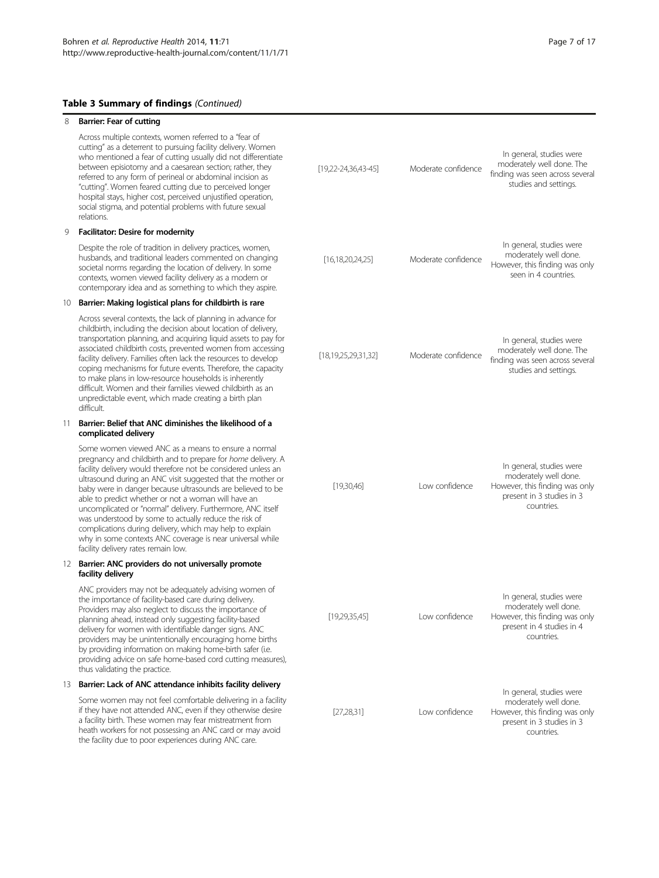#### 8 Barrier: Fear of cutting

Across multiple contexts, women referred to a "fear of cutting" as a deterrent to pursuing facility delivery. Women who mentioned a fear of cutting usually did not differentiate between episiotomy and a caesarean section; rather, they referred to any form of perineal or abdominal incision as "cutting". Women feared cutting due to perceived longer hospital stays, higher cost, perceived unjustified operation, social stigma, and potential problems with future sexual relations.

#### 9 Facilitator: Desire for modernity

Despite the role of tradition in delivery practices, women, husbands, and traditional leaders commented on changing societal norms regarding the location of delivery. In some contexts, women viewed facility delivery as a modern or contemporary idea and as something to which they aspire.

#### 10 Barrier: Making logistical plans for childbirth is rare

Across several contexts, the lack of planning in advance for childbirth, including the decision about location of delivery, transportation planning, and acquiring liquid assets to pay for associated childbirth costs, prevented women from accessing facility delivery. Families often lack the resources to develop coping mechanisms for future events. Therefore, the capacity to make plans in low-resource households is inherently difficult. Women and their families viewed childbirth as an unpredictable event, which made creating a birth plan difficult.

#### 11 Barrier: Belief that ANC diminishes the likelihood of a complicated delivery

Some women viewed ANC as a means to ensure a normal pregnancy and childbirth and to prepare for home delivery. A facility delivery would therefore not be considered unless an ultrasound during an ANC visit suggested that the mother or baby were in danger because ultrasounds are believed to be able to predict whether or not a woman will have an uncomplicated or "normal" delivery. Furthermore, ANC itself was understood by some to actually reduce the risk of complications during delivery, which may help to explain why in some contexts ANC coverage is near universal while facility delivery rates remain low.

#### 12 Barrier: ANC providers do not universally promote facility delivery

ANC providers may not be adequately advising women of the importance of facility-based care during delivery. Providers may also neglect to discuss the importance of planning ahead, instead only suggesting facility-based delivery for women with identifiable danger signs. ANC providers may be unintentionally encouraging home births by providing information on making home-birth safer (i.e. providing advice on safe home-based cord cutting measures), thus validating the practice.

#### 13 Barrier: Lack of ANC attendance inhibits facility delivery

Some women may not feel comfortable delivering in a facility if they have not attended ANC, even if they otherwise desire a facility birth. These women may fear mistreatment from heath workers for not possessing an ANC card or may avoid the facility due to poor experiences during ANC care.

| $[19,22-24,36,43-45]$ | Moderate confidence | In general, studies were<br>moderately well done. The<br>finding was seen across several<br>studies and settings.              |
|-----------------------|---------------------|--------------------------------------------------------------------------------------------------------------------------------|
| [16, 18, 20, 24, 25]  | Moderate confidence | In general, studies were<br>moderately well done.<br>However, this finding was only<br>seen in 4 countries.                    |
| [18,19,25,29,31,32]   | Moderate confidence | In general, studies were<br>moderately well done. The<br>finding was seen across several<br>studies and settings.              |
| [19,30,46]            | Low confidence      | In general, studies were<br>moderately well done.<br>However, this finding was only<br>present in 3 studies in 3<br>countries. |
| [19,29,35,45]         | Low confidence      | In general, studies were<br>moderately well done.<br>However, this finding was only<br>present in 4 studies in 4<br>countries. |
| [27, 28, 31]          | Low confidence      | In general, studies were<br>moderately well done.<br>However, this finding was only<br>present in 3 studies in 3<br>countries. |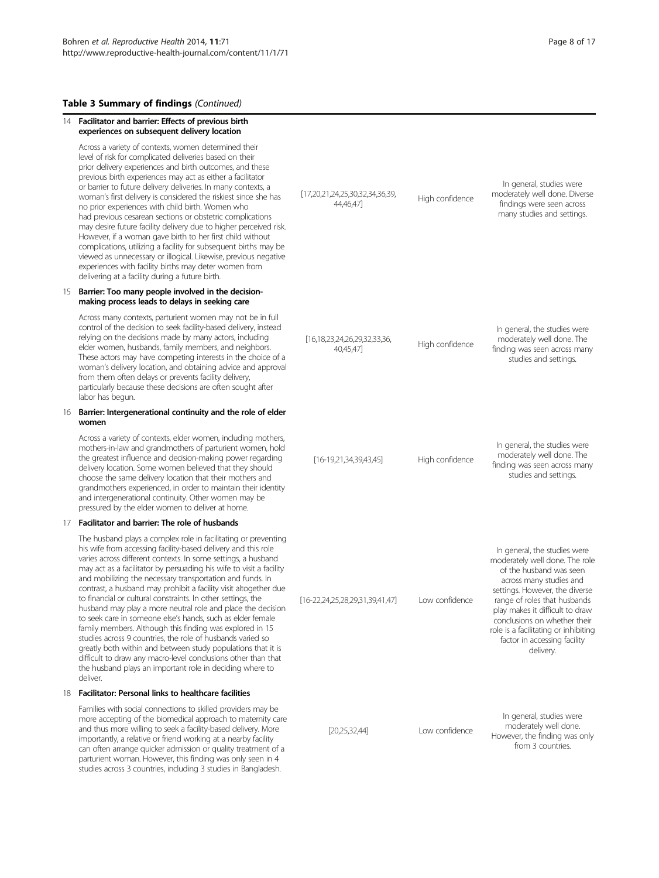studies across 3 countries, including 3 studies in Bangladesh.

## Table 3 Summary of findings (Continued)

|    | 14 Facilitator and barrier: Effects of previous birth<br>experiences on subsequent delivery location                                                                                                                                                                                                                                                                                                                                                                                                                                                                                                                                                                                                                                                                                                                                                                                                                                     |                                              |                 |                                                                                                                                                                                                                                                                                                                                                |
|----|------------------------------------------------------------------------------------------------------------------------------------------------------------------------------------------------------------------------------------------------------------------------------------------------------------------------------------------------------------------------------------------------------------------------------------------------------------------------------------------------------------------------------------------------------------------------------------------------------------------------------------------------------------------------------------------------------------------------------------------------------------------------------------------------------------------------------------------------------------------------------------------------------------------------------------------|----------------------------------------------|-----------------|------------------------------------------------------------------------------------------------------------------------------------------------------------------------------------------------------------------------------------------------------------------------------------------------------------------------------------------------|
|    | Across a variety of contexts, women determined their<br>level of risk for complicated deliveries based on their<br>prior delivery experiences and birth outcomes, and these<br>previous birth experiences may act as either a facilitator<br>or barrier to future delivery deliveries. In many contexts, a<br>woman's first delivery is considered the riskiest since she has<br>no prior experiences with child birth. Women who<br>had previous cesarean sections or obstetric complications<br>may desire future facility delivery due to higher perceived risk.<br>However, if a woman gave birth to her first child without<br>complications, utilizing a facility for subsequent births may be<br>viewed as unnecessary or illogical. Likewise, previous negative<br>experiences with facility births may deter women from<br>delivering at a facility during a future birth.                                                      | [17,20,21,24,25,30,32,34,36,39,<br>44,46,471 | High confidence | In general, studies were<br>moderately well done. Diverse<br>findings were seen across<br>many studies and settings.                                                                                                                                                                                                                           |
| 15 | Barrier: Too many people involved in the decision-<br>making process leads to delays in seeking care                                                                                                                                                                                                                                                                                                                                                                                                                                                                                                                                                                                                                                                                                                                                                                                                                                     |                                              |                 |                                                                                                                                                                                                                                                                                                                                                |
|    | Across many contexts, parturient women may not be in full<br>control of the decision to seek facility-based delivery, instead<br>relying on the decisions made by many actors, including<br>elder women, husbands, family members, and neighbors.<br>These actors may have competing interests in the choice of a<br>woman's delivery location, and obtaining advice and approval<br>from them often delays or prevents facility delivery,<br>particularly because these decisions are often sought after<br>labor has begun.                                                                                                                                                                                                                                                                                                                                                                                                            | [16,18,23,24,26,29,32,33,36,<br>40,45,471    | High confidence | In general, the studies were<br>moderately well done. The<br>finding was seen across many<br>studies and settings.                                                                                                                                                                                                                             |
| 16 | Barrier: Intergenerational continuity and the role of elder<br>women                                                                                                                                                                                                                                                                                                                                                                                                                                                                                                                                                                                                                                                                                                                                                                                                                                                                     |                                              |                 |                                                                                                                                                                                                                                                                                                                                                |
|    | Across a variety of contexts, elder women, including mothers,<br>mothers-in-law and grandmothers of parturient women, hold<br>the greatest influence and decision-making power regarding<br>delivery location. Some women believed that they should<br>choose the same delivery location that their mothers and<br>grandmothers experienced, in order to maintain their identity<br>and intergenerational continuity. Other women may be<br>pressured by the elder women to deliver at home.                                                                                                                                                                                                                                                                                                                                                                                                                                             | $[16-19,21,34,39,43,45]$                     | High confidence | In general, the studies were<br>moderately well done. The<br>finding was seen across many<br>studies and settings.                                                                                                                                                                                                                             |
| 17 | Facilitator and barrier: The role of husbands                                                                                                                                                                                                                                                                                                                                                                                                                                                                                                                                                                                                                                                                                                                                                                                                                                                                                            |                                              |                 |                                                                                                                                                                                                                                                                                                                                                |
|    | The husband plays a complex role in facilitating or preventing<br>his wife from accessing facility-based delivery and this role<br>varies across different contexts. In some settings, a husband<br>may act as a facilitator by persuading his wife to visit a facility<br>and mobilizing the necessary transportation and funds. In<br>contrast, a husband may prohibit a facility visit altogether due<br>to financial or cultural constraints. In other settings, the<br>husband may play a more neutral role and place the decision<br>to seek care in someone else's hands, such as elder female<br>family members. Although this finding was explored in 15<br>studies across 9 countries, the role of husbands varied so<br>greatly both within and between study populations that it is<br>difficult to draw any macro-level conclusions other than that<br>the husband plays an important role in deciding where to<br>deliver. | [16-22,24,25,28,29,31,39,41,47]              | Low confidence  | In general, the studies were<br>moderately well done. The role<br>of the husband was seen<br>across many studies and<br>settings. However, the diverse<br>range of roles that husbands<br>play makes it difficult to draw<br>conclusions on whether their<br>role is a facilitating or inhibiting<br>factor in accessing facility<br>delivery. |
| 18 | <b>Facilitator: Personal links to healthcare facilities</b>                                                                                                                                                                                                                                                                                                                                                                                                                                                                                                                                                                                                                                                                                                                                                                                                                                                                              |                                              |                 |                                                                                                                                                                                                                                                                                                                                                |
|    | Families with social connections to skilled providers may be<br>more accepting of the biomedical approach to maternity care<br>and thus more willing to seek a facility-based delivery. More<br>importantly, a relative or friend working at a nearby facility<br>can often arrange quicker admission or quality treatment of a<br>parturient woman. However, this finding was only seen in 4                                                                                                                                                                                                                                                                                                                                                                                                                                                                                                                                            | [20,25,32,44]                                | Low confidence  | In general, studies were<br>moderately well done.<br>However, the finding was only<br>from 3 countries.                                                                                                                                                                                                                                        |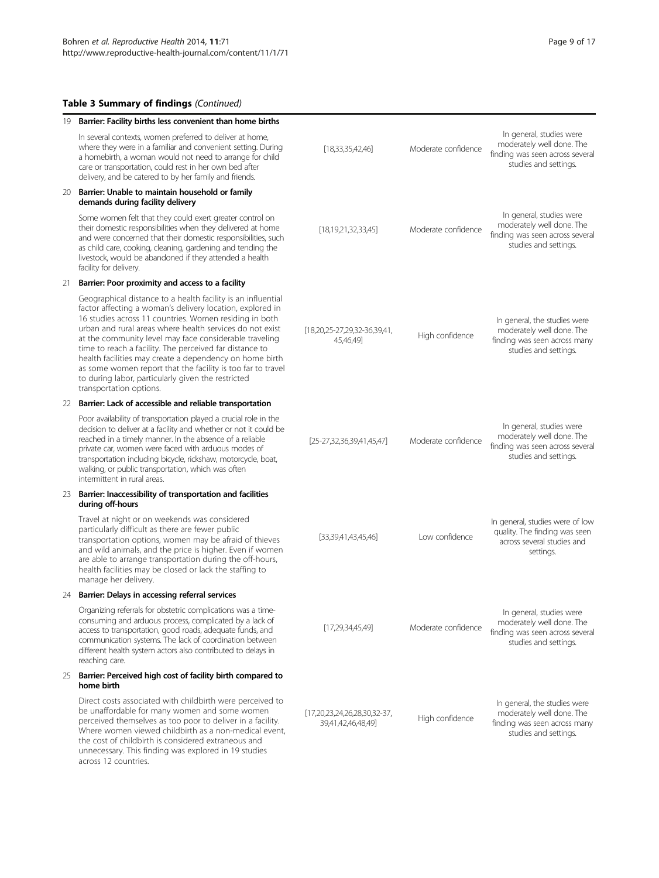| 19 | Barrier: Facility births less convenient than home births                                                                                                                                                                                                                                                                                                                                                                                                                                                                                                                       |                                                    |                     |                                                                                                                    |
|----|---------------------------------------------------------------------------------------------------------------------------------------------------------------------------------------------------------------------------------------------------------------------------------------------------------------------------------------------------------------------------------------------------------------------------------------------------------------------------------------------------------------------------------------------------------------------------------|----------------------------------------------------|---------------------|--------------------------------------------------------------------------------------------------------------------|
|    | In several contexts, women preferred to deliver at home,<br>where they were in a familiar and convenient setting. During<br>a homebirth, a woman would not need to arrange for child<br>care or transportation, could rest in her own bed after<br>delivery, and be catered to by her family and friends.                                                                                                                                                                                                                                                                       | [18, 33, 35, 42, 46]                               | Moderate confidence | In general, studies were<br>moderately well done. The<br>finding was seen across several<br>studies and settings.  |
| 20 | Barrier: Unable to maintain household or family<br>demands during facility delivery                                                                                                                                                                                                                                                                                                                                                                                                                                                                                             |                                                    |                     |                                                                                                                    |
|    | Some women felt that they could exert greater control on<br>their domestic responsibilities when they delivered at home<br>and were concerned that their domestic responsibilities, such<br>as child care, cooking, cleaning, gardening and tending the<br>livestock, would be abandoned if they attended a health<br>facility for delivery.                                                                                                                                                                                                                                    | [18, 19, 21, 32, 33, 45]                           | Moderate confidence | In general, studies were<br>moderately well done. The<br>finding was seen across several<br>studies and settings.  |
| 21 | Barrier: Poor proximity and access to a facility                                                                                                                                                                                                                                                                                                                                                                                                                                                                                                                                |                                                    |                     |                                                                                                                    |
|    | Geographical distance to a health facility is an influential<br>factor affecting a woman's delivery location, explored in<br>16 studies across 11 countries. Women residing in both<br>urban and rural areas where health services do not exist<br>at the community level may face considerable traveling<br>time to reach a facility. The perceived far distance to<br>health facilities may create a dependency on home birth<br>as some women report that the facility is too far to travel<br>to during labor, particularly given the restricted<br>transportation options. | [18,20,25-27,29,32-36,39,41,<br>45,46,49]          | High confidence     | In general, the studies were<br>moderately well done. The<br>finding was seen across many<br>studies and settings. |
| 22 | Barrier: Lack of accessible and reliable transportation                                                                                                                                                                                                                                                                                                                                                                                                                                                                                                                         |                                                    |                     |                                                                                                                    |
|    | Poor availability of transportation played a crucial role in the<br>decision to deliver at a facility and whether or not it could be<br>reached in a timely manner. In the absence of a reliable<br>private car, women were faced with arduous modes of<br>transportation including bicycle, rickshaw, motorcycle, boat,<br>walking, or public transportation, which was often<br>intermittent in rural areas.                                                                                                                                                                  | $[25-27,32,36,39,41,45,47]$                        | Moderate confidence | In general, studies were<br>moderately well done. The<br>finding was seen across several<br>studies and settings.  |
| 23 | Barrier: Inaccessibility of transportation and facilities<br>during off-hours                                                                                                                                                                                                                                                                                                                                                                                                                                                                                                   |                                                    |                     |                                                                                                                    |
|    | Travel at night or on weekends was considered<br>particularly difficult as there are fewer public<br>transportation options, women may be afraid of thieves<br>and wild animals, and the price is higher. Even if women<br>are able to arrange transportation during the off-hours,<br>health facilities may be closed or lack the staffing to<br>manage her delivery.                                                                                                                                                                                                          | [33,39,41,43,45,46]                                | Low confidence      | In general, studies were of low<br>quality. The finding was seen<br>across several studies and<br>settings.        |
| 24 | Barrier: Delays in accessing referral services                                                                                                                                                                                                                                                                                                                                                                                                                                                                                                                                  |                                                    |                     |                                                                                                                    |
|    | Organizing referrals for obstetric complications was a time-<br>consuming and arduous process, complicated by a lack of<br>access to transportation, good roads, adequate funds, and<br>communication systems. The lack of coordination between<br>different health system actors also contributed to delays in<br>reaching care.                                                                                                                                                                                                                                               | [17,29,34,45,49]                                   | Moderate confidence | In general, studies were<br>moderately well done. The<br>finding was seen across several<br>studies and settings.  |
| 25 | Barrier: Perceived high cost of facility birth compared to<br>home birth                                                                                                                                                                                                                                                                                                                                                                                                                                                                                                        |                                                    |                     |                                                                                                                    |
|    | Direct costs associated with childbirth were perceived to<br>be unaffordable for many women and some women<br>perceived themselves as too poor to deliver in a facility.<br>Where women viewed childbirth as a non-medical event,<br>the cost of childbirth is considered extraneous and<br>unnecessary. This finding was explored in 19 studies<br>across 12 countries.                                                                                                                                                                                                        | [17,20,23,24,26,28,30,32-37,<br>39,41,42,46,48,49] | High confidence     | In general, the studies were<br>moderately well done. The<br>finding was seen across many<br>studies and settings. |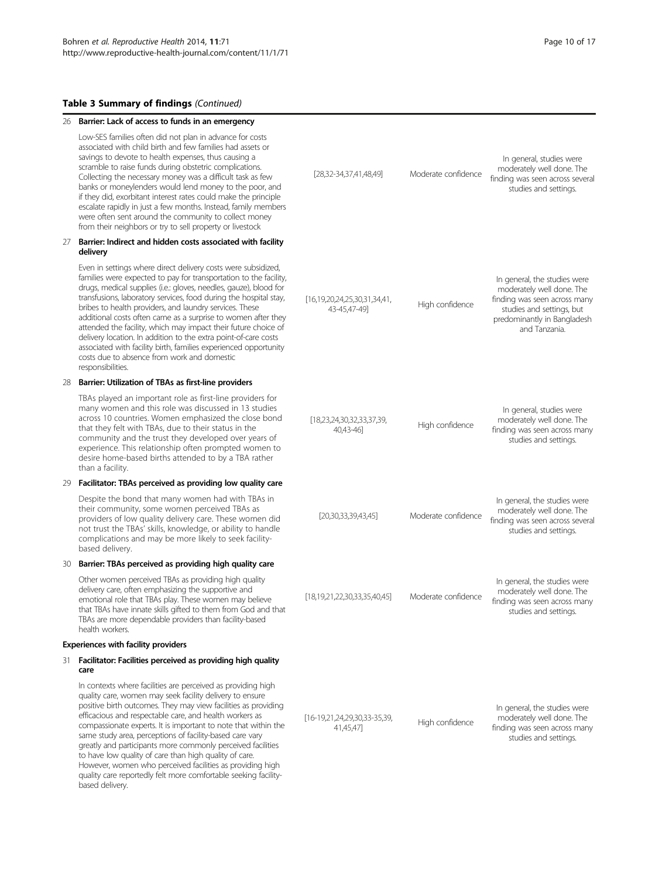based delivery.

| 26 | Barrier: Lack of access to funds in an emergency                                                                                                                                                                                                                                                                                                                                                                                                                                                                                                                                                                                                                                      |                                                      |                     |                                                                                                                                                                        |
|----|---------------------------------------------------------------------------------------------------------------------------------------------------------------------------------------------------------------------------------------------------------------------------------------------------------------------------------------------------------------------------------------------------------------------------------------------------------------------------------------------------------------------------------------------------------------------------------------------------------------------------------------------------------------------------------------|------------------------------------------------------|---------------------|------------------------------------------------------------------------------------------------------------------------------------------------------------------------|
|    | Low-SES families often did not plan in advance for costs<br>associated with child birth and few families had assets or<br>savings to devote to health expenses, thus causing a<br>scramble to raise funds during obstetric complications.<br>Collecting the necessary money was a difficult task as few<br>banks or moneylenders would lend money to the poor, and<br>if they did, exorbitant interest rates could make the principle<br>escalate rapidly in just a few months. Instead, family members<br>were often sent around the community to collect money<br>from their neighbors or try to sell property or livestock                                                         | $[28,32-34,37,41,48,49]$                             | Moderate confidence | In general, studies were<br>moderately well done. The<br>finding was seen across several<br>studies and settings.                                                      |
| 27 | Barrier: Indirect and hidden costs associated with facility<br>deliverv                                                                                                                                                                                                                                                                                                                                                                                                                                                                                                                                                                                                               |                                                      |                     |                                                                                                                                                                        |
|    | Even in settings where direct delivery costs were subsidized,<br>families were expected to pay for transportation to the facility,<br>drugs, medical supplies (i.e.: gloves, needles, gauze), blood for<br>transfusions, laboratory services, food during the hospital stay,<br>bribes to health providers, and laundry services. These<br>additional costs often came as a surprise to women after they<br>attended the facility, which may impact their future choice of<br>delivery location. In addition to the extra point-of-care costs<br>associated with facility birth, families experienced opportunity<br>costs due to absence from work and domestic<br>responsibilities. | [16, 19, 20, 24, 25, 30, 31, 34, 41,<br>43-45,47-49] | High confidence     | In general, the studies were<br>moderately well done. The<br>finding was seen across many<br>studies and settings, but<br>predominantly in Bangladesh<br>and Tanzania. |
| 28 | Barrier: Utilization of TBAs as first-line providers                                                                                                                                                                                                                                                                                                                                                                                                                                                                                                                                                                                                                                  |                                                      |                     |                                                                                                                                                                        |
|    | TBAs played an important role as first-line providers for<br>many women and this role was discussed in 13 studies<br>across 10 countries. Women emphasized the close bond<br>that they felt with TBAs, due to their status in the<br>community and the trust they developed over years of<br>experience. This relationship often prompted women to<br>desire home-based births attended to by a TBA rather<br>than a facility.                                                                                                                                                                                                                                                        | [18,23,24,30,32,33,37,39,<br>40,43-46]               | High confidence     | In general, studies were<br>moderately well done. The<br>finding was seen across many<br>studies and settings.                                                         |
| 29 | Facilitator: TBAs perceived as providing low quality care                                                                                                                                                                                                                                                                                                                                                                                                                                                                                                                                                                                                                             |                                                      |                     |                                                                                                                                                                        |
|    | Despite the bond that many women had with TBAs in<br>their community, some women perceived TBAs as<br>providers of low quality delivery care. These women did<br>not trust the TBAs' skills, knowledge, or ability to handle<br>complications and may be more likely to seek facility-<br>based delivery.                                                                                                                                                                                                                                                                                                                                                                             | [20,30,33,39,43,45]                                  | Moderate confidence | In general, the studies were<br>moderately well done. The<br>finding was seen across several<br>studies and settings.                                                  |
| 30 | Barrier: TBAs perceived as providing high quality care                                                                                                                                                                                                                                                                                                                                                                                                                                                                                                                                                                                                                                |                                                      |                     |                                                                                                                                                                        |
|    | Other women perceived TBAs as providing high quality<br>delivery care, often emphasizing the supportive and<br>emotional role that TBAs play. These women may believe<br>that TBAs have innate skills gifted to them from God and that<br>TBAs are more dependable providers than facility-based<br>health workers.                                                                                                                                                                                                                                                                                                                                                                   | [18, 19, 21, 22, 30, 33, 35, 40, 45]                 | Moderate confidence | In general, the studies were<br>moderately well done. The<br>finding was seen across many<br>studies and settings.                                                     |
|    | <b>Experiences with facility providers</b>                                                                                                                                                                                                                                                                                                                                                                                                                                                                                                                                                                                                                                            |                                                      |                     |                                                                                                                                                                        |
| 31 | Facilitator: Facilities perceived as providing high quality                                                                                                                                                                                                                                                                                                                                                                                                                                                                                                                                                                                                                           |                                                      |                     |                                                                                                                                                                        |
|    | care<br>In contexts where facilities are perceived as providing high<br>quality care, women may seek facility delivery to ensure<br>positive birth outcomes. They may view facilities as providing<br>efficacious and respectable care, and health workers as<br>compassionate experts. It is important to note that within the<br>same study area, perceptions of facility-based care vary<br>greatly and participants more commonly perceived facilities<br>to have low quality of care than high quality of care.<br>However, women who perceived facilities as providing high<br>quality care reportedly felt more comfortable seeking facility-                                  | [16-19,21,24,29,30,33-35,39,<br>41,45,47]            | High confidence     | In general, the studies were<br>moderately well done. The<br>finding was seen across many<br>studies and settings.                                                     |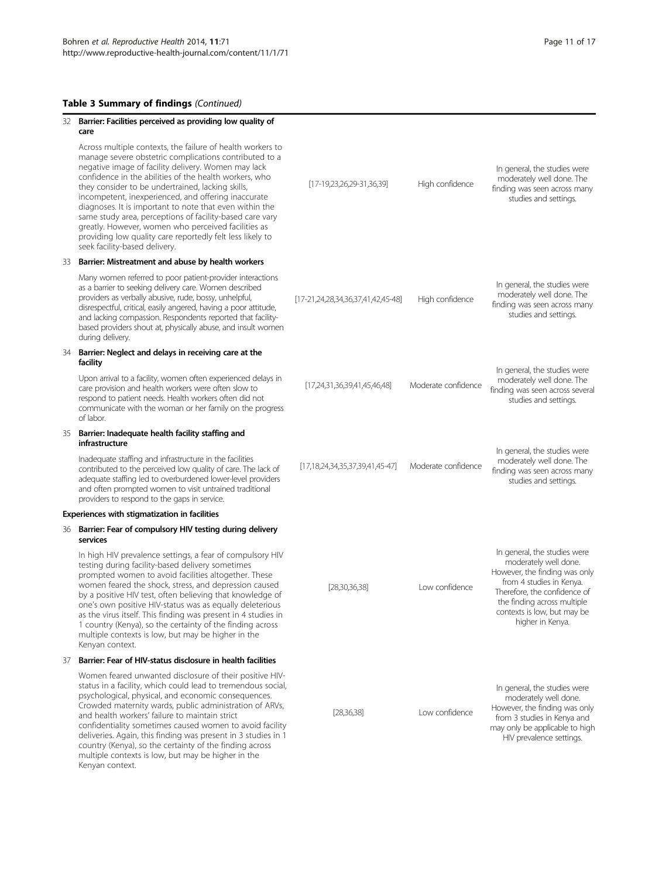|    | 32 Barrier: Facilities perceived as providing low quality of<br>care                                                                                                                                                                                                                                                                                                                                                                                                                                                                                                                                                          |                                              |                     |                                                                                                                                                                                                                                      |
|----|-------------------------------------------------------------------------------------------------------------------------------------------------------------------------------------------------------------------------------------------------------------------------------------------------------------------------------------------------------------------------------------------------------------------------------------------------------------------------------------------------------------------------------------------------------------------------------------------------------------------------------|----------------------------------------------|---------------------|--------------------------------------------------------------------------------------------------------------------------------------------------------------------------------------------------------------------------------------|
|    | Across multiple contexts, the failure of health workers to<br>manage severe obstetric complications contributed to a<br>negative image of facility delivery. Women may lack<br>confidence in the abilities of the health workers, who<br>they consider to be undertrained, lacking skills,<br>incompetent, inexperienced, and offering inaccurate<br>diagnoses. It is important to note that even within the<br>same study area, perceptions of facility-based care vary<br>greatly. However, women who perceived facilities as<br>providing low quality care reportedly felt less likely to<br>seek facility-based delivery. | $[17-19,23,26,29-31,36,39]$                  | High confidence     | In general, the studies were<br>moderately well done. The<br>finding was seen across many<br>studies and settings.                                                                                                                   |
| 33 | Barrier: Mistreatment and abuse by health workers                                                                                                                                                                                                                                                                                                                                                                                                                                                                                                                                                                             |                                              |                     |                                                                                                                                                                                                                                      |
|    | Many women referred to poor patient-provider interactions<br>as a barrier to seeking delivery care. Women described<br>providers as verbally abusive, rude, bossy, unhelpful,<br>disrespectful, critical, easily angered, having a poor attitude,<br>and lacking compassion. Respondents reported that facility-<br>based providers shout at, physically abuse, and insult women<br>during delivery.                                                                                                                                                                                                                          | $[17-21, 24, 28, 34, 36, 37, 41, 42, 45-48]$ | High confidence     | In general, the studies were<br>moderately well done. The<br>finding was seen across many<br>studies and settings.                                                                                                                   |
|    | 34 Barrier: Neglect and delays in receiving care at the<br>facility                                                                                                                                                                                                                                                                                                                                                                                                                                                                                                                                                           |                                              |                     |                                                                                                                                                                                                                                      |
|    | Upon arrival to a facility, women often experienced delays in<br>care provision and health workers were often slow to<br>respond to patient needs. Health workers often did not<br>communicate with the woman or her family on the progress<br>of labor.                                                                                                                                                                                                                                                                                                                                                                      | [17,24,31,36,39,41,45,46,48]                 | Moderate confidence | In general, the studies were<br>moderately well done. The<br>finding was seen across several<br>studies and settings.                                                                                                                |
|    | 35 Barrier: Inadequate health facility staffing and<br>infrastructure                                                                                                                                                                                                                                                                                                                                                                                                                                                                                                                                                         |                                              |                     |                                                                                                                                                                                                                                      |
|    | Inadequate staffing and infrastructure in the facilities<br>contributed to the perceived low quality of care. The lack of<br>adequate staffing led to overburdened lower-level providers<br>and often prompted women to visit untrained traditional<br>providers to respond to the gaps in service.                                                                                                                                                                                                                                                                                                                           | $[17, 18, 24, 34, 35, 37, 39, 41, 45 - 47]$  | Moderate confidence | In general, the studies were<br>moderately well done. The<br>finding was seen across many<br>studies and settings.                                                                                                                   |
|    | <b>Experiences with stigmatization in facilities</b>                                                                                                                                                                                                                                                                                                                                                                                                                                                                                                                                                                          |                                              |                     |                                                                                                                                                                                                                                      |
|    | 36 Barrier: Fear of compulsory HIV testing during delivery<br>services                                                                                                                                                                                                                                                                                                                                                                                                                                                                                                                                                        |                                              |                     |                                                                                                                                                                                                                                      |
|    | In high HIV prevalence settings, a fear of compulsory HIV<br>testing during facility-based delivery sometimes<br>prompted women to avoid facilities altogether. These<br>women feared the shock, stress, and depression caused<br>by a positive HIV test, often believing that knowledge of<br>one's own positive HIV-status was as equally deleterious<br>as the virus itself. This finding was present in 4 studies in<br>1 country (Kenya), so the certainty of the finding across<br>multiple contexts is low, but may be higher in the<br>Kenyan context.                                                                | [28, 30, 36, 38]                             | Low confidence      | In general, the studies were<br>moderately well done.<br>However, the finding was only<br>from 4 studies in Kenya.<br>Therefore, the confidence of<br>the finding across multiple<br>contexts is low, but may be<br>higher in Kenya. |
| 37 | Barrier: Fear of HIV-status disclosure in health facilities                                                                                                                                                                                                                                                                                                                                                                                                                                                                                                                                                                   |                                              |                     |                                                                                                                                                                                                                                      |
|    | Women feared unwanted disclosure of their positive HIV-<br>status in a facility, which could lead to tremendous social,<br>psychological, physical, and economic consequences.<br>Crowded maternity wards, public administration of ARVs,<br>and health workers' failure to maintain strict<br>confidentiality sometimes caused women to avoid facility<br>deliveries. Again, this finding was present in 3 studies in 1<br>country (Kenya), so the certainty of the finding across<br>multiple contexts is low, but may be higher in the<br>Kenyan context.                                                                  | [28, 36, 38]                                 | Low confidence      | In general, the studies were<br>moderately well done.<br>However, the finding was only<br>from 3 studies in Kenya and<br>may only be applicable to high<br>HIV prevalence settings.                                                  |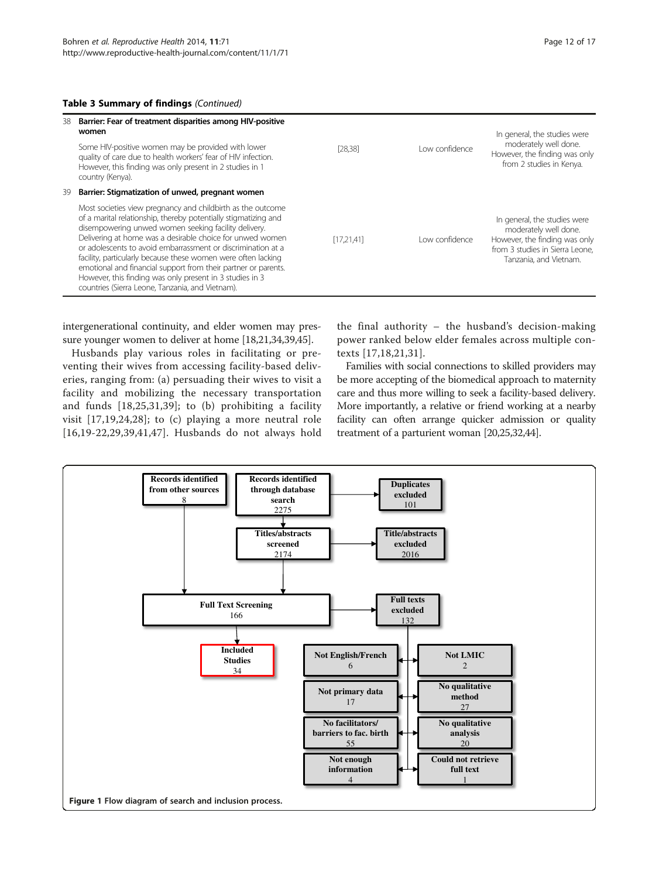<span id="page-11-0"></span>

| 38 | Barrier: Fear of treatment disparities among HIV-positive<br>women                                                                                                                                                                                                                                                                                                                                                                                                                                                                                                     |            |                 | In general, the studies were                                                                                                                        |
|----|------------------------------------------------------------------------------------------------------------------------------------------------------------------------------------------------------------------------------------------------------------------------------------------------------------------------------------------------------------------------------------------------------------------------------------------------------------------------------------------------------------------------------------------------------------------------|------------|-----------------|-----------------------------------------------------------------------------------------------------------------------------------------------------|
|    | Some HIV-positive women may be provided with lower<br>quality of care due to health workers' fear of HIV infection.<br>However, this finding was only present in 2 studies in 1<br>country (Kenya).                                                                                                                                                                                                                                                                                                                                                                    | [28, 38]   | Low confidence  | moderately well done.<br>However, the finding was only<br>from 2 studies in Kenya.                                                                  |
| 39 | Barrier: Stigmatization of unwed, pregnant women                                                                                                                                                                                                                                                                                                                                                                                                                                                                                                                       |            |                 |                                                                                                                                                     |
|    | Most societies view pregnancy and childbirth as the outcome<br>of a marital relationship, thereby potentially stigmatizing and<br>disempowering unwed women seeking facility delivery.<br>Delivering at home was a desirable choice for unwed women<br>or adolescents to avoid embarrassment or discrimination at a<br>facility, particularly because these women were often lacking<br>emotional and financial support from their partner or parents.<br>However, this finding was only present in 3 studies in 3<br>countries (Sierra Leone, Tanzania, and Vietnam). | [17,21,41] | I ow confidence | In general, the studies were<br>moderately well done.<br>However, the finding was only<br>from 3 studies in Sierra Leone,<br>Tanzania, and Vietnam. |

intergenerational continuity, and elder women may pressure younger women to deliver at home [[18](#page-15-0),[21,34,](#page-15-0)[39,45](#page-16-0)].

Husbands play various roles in facilitating or preventing their wives from accessing facility-based deliveries, ranging from: (a) persuading their wives to visit a facility and mobilizing the necessary transportation and funds [[18,25](#page-15-0),[31](#page-15-0)[,39](#page-16-0)]; to (b) prohibiting a facility visit [[17](#page-15-0),[19,24](#page-15-0),[28\]](#page-15-0); to (c) playing a more neutral role [[16](#page-15-0),[19-22,29](#page-15-0),[39,41](#page-16-0),[47\]](#page-16-0). Husbands do not always hold

the final authority – the husband's decision-making power ranked below elder females across multiple contexts [[17](#page-15-0),[18,21](#page-15-0),[31\]](#page-15-0).

Families with social connections to skilled providers may be more accepting of the biomedical approach to maternity care and thus more willing to seek a facility-based delivery. More importantly, a relative or friend working at a nearby facility can often arrange quicker admission or quality treatment of a parturient woman [\[20,25,32,](#page-15-0)[44](#page-16-0)].

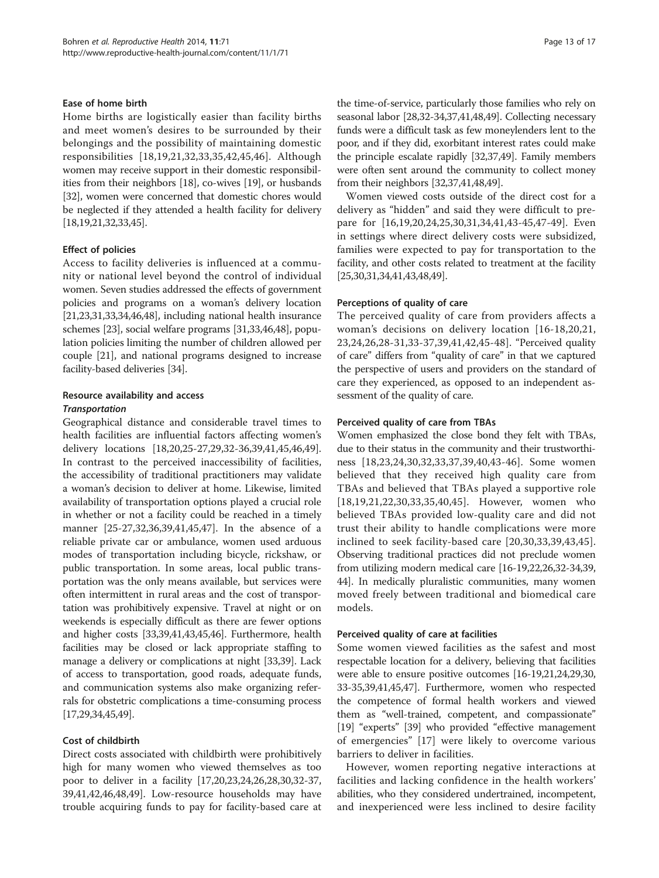#### Ease of home birth

Home births are logistically easier than facility births and meet women's desires to be surrounded by their belongings and the possibility of maintaining domestic responsibilities [[18](#page-15-0),[19,21](#page-15-0),[32,33,](#page-15-0)[35,42,45,46\]](#page-16-0). Although women may receive support in their domestic responsibilities from their neighbors [\[18\]](#page-15-0), co-wives [\[19](#page-15-0)], or husbands [[32](#page-15-0)], women were concerned that domestic chores would be neglected if they attended a health facility for delivery [[18,19,21,32](#page-15-0),[33](#page-15-0)[,45\]](#page-16-0).

## Effect of policies

Access to facility deliveries is influenced at a community or national level beyond the control of individual women. Seven studies addressed the effects of government policies and programs on a woman's delivery location [[21,23,31,33](#page-15-0),[34](#page-15-0)[,46,48\]](#page-16-0), including national health insurance schemes [\[23\]](#page-15-0), social welfare programs [[31](#page-15-0),[33](#page-15-0)[,46,48\]](#page-16-0), population policies limiting the number of children allowed per couple [\[21](#page-15-0)], and national programs designed to increase facility-based deliveries [\[34](#page-15-0)].

## Resource availability and access **Transportation**

Geographical distance and considerable travel times to health facilities are influential factors affecting women's delivery locations [[18,20,25-27,29,32](#page-15-0)-[36](#page-16-0),[39](#page-16-0),[41,45,46,49](#page-16-0)]. In contrast to the perceived inaccessibility of facilities, the accessibility of traditional practitioners may validate a woman's decision to deliver at home. Likewise, limited availability of transportation options played a crucial role in whether or not a facility could be reached in a timely manner [[25-27,32](#page-15-0)[,36,39,41,45,47\]](#page-16-0). In the absence of a reliable private car or ambulance, women used arduous modes of transportation including bicycle, rickshaw, or public transportation. In some areas, local public transportation was the only means available, but services were often intermittent in rural areas and the cost of transportation was prohibitively expensive. Travel at night or on weekends is especially difficult as there are fewer options and higher costs [[33](#page-15-0)[,39,41,43,45,46\]](#page-16-0). Furthermore, health facilities may be closed or lack appropriate staffing to manage a delivery or complications at night [[33](#page-15-0)[,39\]](#page-16-0). Lack of access to transportation, good roads, adequate funds, and communication systems also make organizing referrals for obstetric complications a time-consuming process [[17,29,34,](#page-15-0)[45](#page-16-0),[49](#page-16-0)].

## Cost of childbirth

Direct costs associated with childbirth were prohibitively high for many women who viewed themselves as too poor to deliver in a facility [\[17,20,23,24,26,28,30,32](#page-15-0)-[37](#page-16-0), [39,41](#page-16-0),[42](#page-16-0),[46](#page-16-0),[48](#page-16-0),[49](#page-16-0)]. Low-resource households may have trouble acquiring funds to pay for facility-based care at the time-of-service, particularly those families who rely on seasonal labor [\[28,32-34,](#page-15-0)[37,41,48,49\]](#page-16-0). Collecting necessary funds were a difficult task as few moneylenders lent to the poor, and if they did, exorbitant interest rates could make the principle escalate rapidly [\[32,](#page-15-0)[37,49](#page-16-0)]. Family members were often sent around the community to collect money from their neighbors [\[32,](#page-15-0)[37](#page-16-0),[41,48,49\]](#page-16-0).

Women viewed costs outside of the direct cost for a delivery as "hidden" and said they were difficult to prepare for [\[16](#page-15-0),[19,20,24,25,30](#page-15-0),[31,34](#page-15-0)[,41,43-45,47](#page-16-0)-[49](#page-16-0)]. Even in settings where direct delivery costs were subsidized, families were expected to pay for transportation to the facility, and other costs related to treatment at the facility [[25](#page-15-0),[30,31,34,](#page-15-0)[41,43,48,49](#page-16-0)].

## Perceptions of quality of care

The perceived quality of care from providers affects a woman's decisions on delivery location [[16](#page-15-0)-[18](#page-15-0),[20,21](#page-15-0), [23,24](#page-15-0),[26,28-31](#page-15-0),[33](#page-15-0)-[37,39,41,42,45](#page-16-0)-[48](#page-16-0)]. "Perceived quality of care" differs from "quality of care" in that we captured the perspective of users and providers on the standard of care they experienced, as opposed to an independent assessment of the quality of care.

## Perceived quality of care from TBAs

Women emphasized the close bond they felt with TBAs, due to their status in the community and their trustworthiness [\[18,23,24,30](#page-15-0),[32,33](#page-15-0),[37,39](#page-16-0),[40,43](#page-16-0)-[46](#page-16-0)]. Some women believed that they received high quality care from TBAs and believed that TBAs played a supportive role [[18](#page-15-0),[19,21](#page-15-0),[22,30](#page-15-0),[33,](#page-15-0)[35,40,45\]](#page-16-0). However, women who believed TBAs provided low-quality care and did not trust their ability to handle complications were more inclined to seek facility-based care [\[20](#page-15-0),[30,33](#page-15-0),[39,43,45](#page-16-0)]. Observing traditional practices did not preclude women from utilizing modern medical care [[16](#page-15-0)-[19,22,26,32-34,](#page-15-0)[39](#page-16-0), [44](#page-16-0)]. In medically pluralistic communities, many women moved freely between traditional and biomedical care models.

#### Perceived quality of care at facilities

Some women viewed facilities as the safest and most respectable location for a delivery, believing that facilities were able to ensure positive outcomes [[16-19,21,24,29,30](#page-15-0), [33](#page-15-0)-[35,39,41,45,47](#page-16-0)]. Furthermore, women who respected the competence of formal health workers and viewed them as "well-trained, competent, and compassionate" [[19](#page-15-0)] "experts" [\[39\]](#page-16-0) who provided "effective management of emergencies" [[17\]](#page-15-0) were likely to overcome various barriers to deliver in facilities.

However, women reporting negative interactions at facilities and lacking confidence in the health workers' abilities, who they considered undertrained, incompetent, and inexperienced were less inclined to desire facility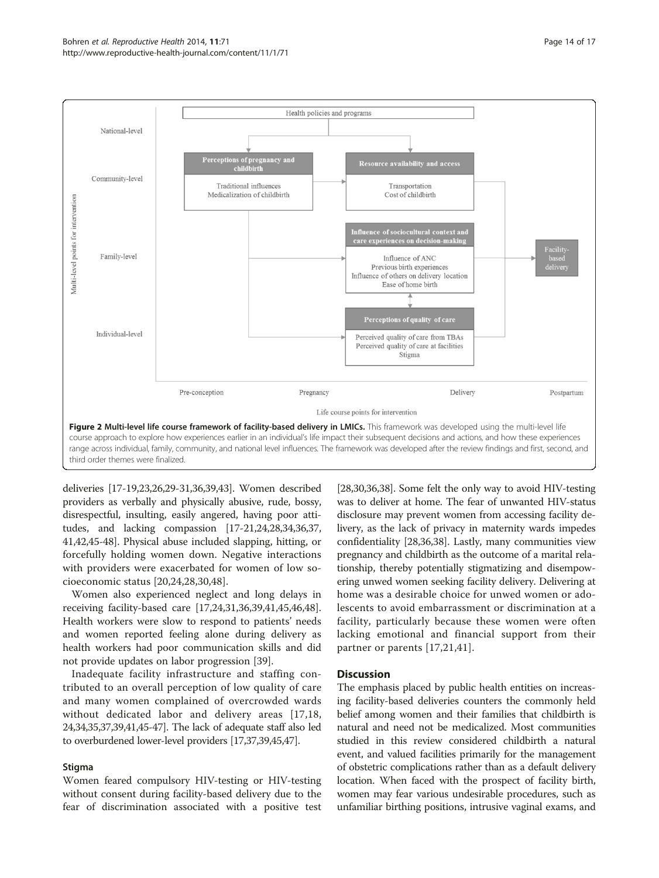<span id="page-13-0"></span>

deliveries [[17-19,23,26,29-31,](#page-15-0)[36,39,43\]](#page-16-0). Women described providers as verbally and physically abusive, rude, bossy, disrespectful, insulting, easily angered, having poor attitudes, and lacking compassion [\[17-21,24,28,34](#page-15-0)[,36,37](#page-16-0), [41,42,45-48\]](#page-16-0). Physical abuse included slapping, hitting, or forcefully holding women down. Negative interactions with providers were exacerbated for women of low socioeconomic status [[20,24](#page-15-0),[28,30,](#page-15-0)[48](#page-16-0)].

Women also experienced neglect and long delays in receiving facility-based care [[17,24](#page-15-0),[31](#page-15-0),[36](#page-16-0),[39](#page-16-0),[41,45,46,48](#page-16-0)]. Health workers were slow to respond to patients' needs and women reported feeling alone during delivery as health workers had poor communication skills and did not provide updates on labor progression [\[39](#page-16-0)].

Inadequate facility infrastructure and staffing contributed to an overall perception of low quality of care and many women complained of overcrowded wards without dedicated labor and delivery areas [[17,18](#page-15-0), [24,34](#page-15-0)[,35,37,39,41,45-47](#page-16-0)]. The lack of adequate staff also led to overburdened lower-level providers [\[17,](#page-15-0)[37,39,45,47](#page-16-0)].

#### Stigma

Women feared compulsory HIV-testing or HIV-testing without consent during facility-based delivery due to the fear of discrimination associated with a positive test

[[28](#page-15-0),[30](#page-15-0)[,36,38\]](#page-16-0). Some felt the only way to avoid HIV-testing was to deliver at home. The fear of unwanted HIV-status disclosure may prevent women from accessing facility delivery, as the lack of privacy in maternity wards impedes confidentiality [\[28,](#page-15-0)[36,38](#page-16-0)]. Lastly, many communities view pregnancy and childbirth as the outcome of a marital relationship, thereby potentially stigmatizing and disempowering unwed women seeking facility delivery. Delivering at home was a desirable choice for unwed women or adolescents to avoid embarrassment or discrimination at a facility, particularly because these women were often lacking emotional and financial support from their partner or parents [[17](#page-15-0),[21,](#page-15-0)[41](#page-16-0)].

#### **Discussion**

The emphasis placed by public health entities on increasing facility-based deliveries counters the commonly held belief among women and their families that childbirth is natural and need not be medicalized. Most communities studied in this review considered childbirth a natural event, and valued facilities primarily for the management of obstetric complications rather than as a default delivery location. When faced with the prospect of facility birth, women may fear various undesirable procedures, such as unfamiliar birthing positions, intrusive vaginal exams, and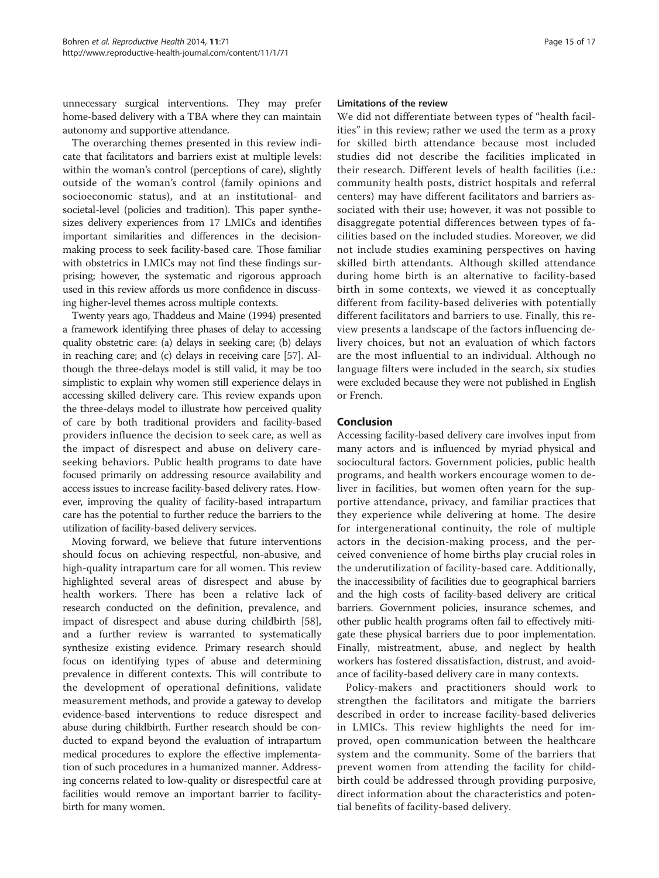unnecessary surgical interventions. They may prefer home-based delivery with a TBA where they can maintain autonomy and supportive attendance.

The overarching themes presented in this review indicate that facilitators and barriers exist at multiple levels: within the woman's control (perceptions of care), slightly outside of the woman's control (family opinions and socioeconomic status), and at an institutional- and societal-level (policies and tradition). This paper synthesizes delivery experiences from 17 LMICs and identifies important similarities and differences in the decisionmaking process to seek facility-based care. Those familiar with obstetrics in LMICs may not find these findings surprising; however, the systematic and rigorous approach used in this review affords us more confidence in discussing higher-level themes across multiple contexts.

Twenty years ago, Thaddeus and Maine (1994) presented a framework identifying three phases of delay to accessing quality obstetric care: (a) delays in seeking care; (b) delays in reaching care; and (c) delays in receiving care [[57](#page-16-0)]. Although the three-delays model is still valid, it may be too simplistic to explain why women still experience delays in accessing skilled delivery care. This review expands upon the three-delays model to illustrate how perceived quality of care by both traditional providers and facility-based providers influence the decision to seek care, as well as the impact of disrespect and abuse on delivery careseeking behaviors. Public health programs to date have focused primarily on addressing resource availability and access issues to increase facility-based delivery rates. However, improving the quality of facility-based intrapartum care has the potential to further reduce the barriers to the utilization of facility-based delivery services.

Moving forward, we believe that future interventions should focus on achieving respectful, non-abusive, and high-quality intrapartum care for all women. This review highlighted several areas of disrespect and abuse by health workers. There has been a relative lack of research conducted on the definition, prevalence, and impact of disrespect and abuse during childbirth [\[58](#page-16-0)], and a further review is warranted to systematically synthesize existing evidence. Primary research should focus on identifying types of abuse and determining prevalence in different contexts. This will contribute to the development of operational definitions, validate measurement methods, and provide a gateway to develop evidence-based interventions to reduce disrespect and abuse during childbirth. Further research should be conducted to expand beyond the evaluation of intrapartum medical procedures to explore the effective implementation of such procedures in a humanized manner. Addressing concerns related to low-quality or disrespectful care at facilities would remove an important barrier to facilitybirth for many women.

#### Limitations of the review

We did not differentiate between types of "health facilities" in this review; rather we used the term as a proxy for skilled birth attendance because most included studies did not describe the facilities implicated in their research. Different levels of health facilities (i.e.: community health posts, district hospitals and referral centers) may have different facilitators and barriers associated with their use; however, it was not possible to disaggregate potential differences between types of facilities based on the included studies. Moreover, we did not include studies examining perspectives on having skilled birth attendants. Although skilled attendance during home birth is an alternative to facility-based birth in some contexts, we viewed it as conceptually different from facility-based deliveries with potentially different facilitators and barriers to use. Finally, this review presents a landscape of the factors influencing delivery choices, but not an evaluation of which factors are the most influential to an individual. Although no language filters were included in the search, six studies were excluded because they were not published in English or French.

## Conclusion

Accessing facility-based delivery care involves input from many actors and is influenced by myriad physical and sociocultural factors. Government policies, public health programs, and health workers encourage women to deliver in facilities, but women often yearn for the supportive attendance, privacy, and familiar practices that they experience while delivering at home. The desire for intergenerational continuity, the role of multiple actors in the decision-making process, and the perceived convenience of home births play crucial roles in the underutilization of facility-based care. Additionally, the inaccessibility of facilities due to geographical barriers and the high costs of facility-based delivery are critical barriers. Government policies, insurance schemes, and other public health programs often fail to effectively mitigate these physical barriers due to poor implementation. Finally, mistreatment, abuse, and neglect by health workers has fostered dissatisfaction, distrust, and avoidance of facility-based delivery care in many contexts.

Policy-makers and practitioners should work to strengthen the facilitators and mitigate the barriers described in order to increase facility-based deliveries in LMICs. This review highlights the need for improved, open communication between the healthcare system and the community. Some of the barriers that prevent women from attending the facility for childbirth could be addressed through providing purposive, direct information about the characteristics and potential benefits of facility-based delivery.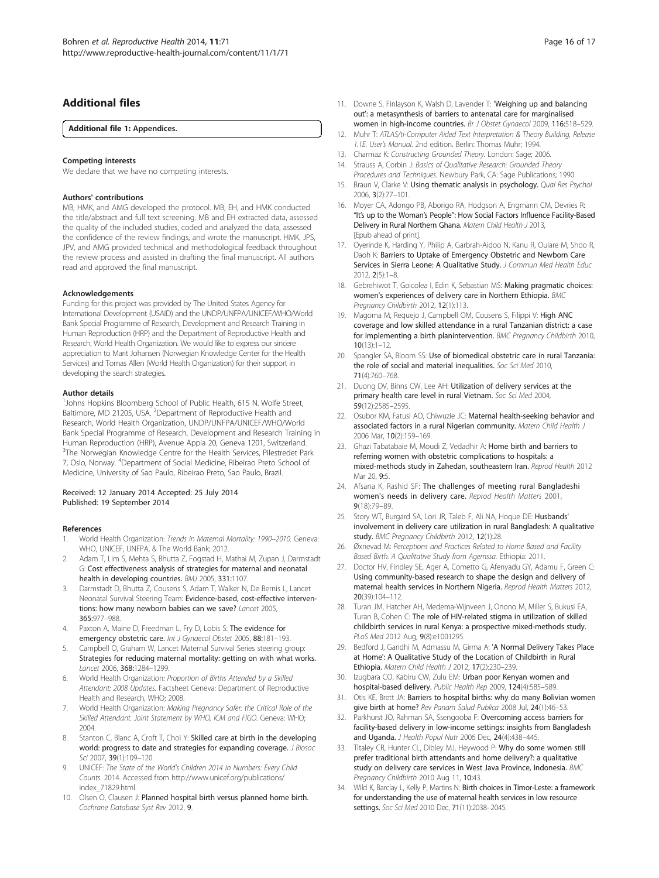## <span id="page-15-0"></span>Additional files

#### [Additional file 1:](http://www.biomedcentral.com/content/supplementary/1742-4755-11-71-S1.docx) Appendices.

#### Competing interests

We declare that we have no competing interests.

#### Authors' contributions

MB, HMK, and AMG developed the protocol. MB, EH, and HMK conducted the title/abstract and full text screening. MB and EH extracted data, assessed the quality of the included studies, coded and analyzed the data, assessed the confidence of the review findings, and wrote the manuscript. HMK, JPS, JPV, and AMG provided technical and methodological feedback throughout the review process and assisted in drafting the final manuscript. All authors read and approved the final manuscript.

#### Acknowledgements

Funding for this project was provided by The United States Agency for International Development (USAID) and the UNDP/UNFPA/UNICEF/WHO/World Bank Special Programme of Research, Development and Research Training in Human Reproduction (HRP) and the Department of Reproductive Health and Research, World Health Organization. We would like to express our sincere appreciation to Marit Johansen (Norwegian Knowledge Center for the Health Services) and Tomas Allen (World Health Organization) for their support in developing the search strategies.

#### Author details

<sup>1</sup> Johns Hopkins Bloomberg School of Public Health, 615 N. Wolfe Street, Baltimore, MD 21205, USA. <sup>2</sup>Department of Reproductive Health and Research, World Health Organization, UNDP/UNFPA/UNICEF/WHO/World Bank Special Programme of Research, Development and Research Training in Human Reproduction (HRP), Avenue Appia 20, Geneva 1201, Switzerland. <sup>3</sup>The Norwegian Knowledge Centre for the Health Services, Pilestredet Park 7, Oslo, Norway. <sup>4</sup> Department of Social Medicine, Ribeirao Preto School of Medicine, University of Sao Paulo, Ribeirao Preto, Sao Paulo, Brazil.

#### Received: 12 January 2014 Accepted: 25 July 2014 Published: 19 September 2014

#### References

- 1. World Health Organization: Trends in Maternal Mortality: 1990–2010. Geneva: WHO, UNICEF, UNFPA, & The World Bank; 2012.
- 2. Adam T, Lim S, Mehta S, Bhutta Z, Fogstad H, Mathai M, Zupan J, Darmstadt G: Cost effectiveness analysis of strategies for maternal and neonatal health in developing countries. BMJ 2005, 331:1107.
- 3. Darmstadt D, Bhutta Z, Cousens S, Adam T, Walker N, De Bernis L, Lancet Neonatal Survival Steering Team: Evidence-based, cost-effective interventions: how many newborn babies can we save? Lancet 2005, 365:977–988.
- 4. Paxton A, Maine D, Freedman L, Fry D, Lobis S: The evidence for emergency obstetric care. Int J Gynaecol Obstet 2005, 88:181-193.
- 5. Campbell O, Graham W, Lancet Maternal Survival Series steering group: Strategies for reducing maternal mortality: getting on with what works. Lancet 2006, 368:1284–1299.
- 6. World Health Organization: Proportion of Births Attended by a Skilled Attendant: 2008 Updates. Factsheet Geneva: Department of Reproductive Health and Research, WHO; 2008.
- 7. World Health Organization: Making Pregnancy Safer: the Critical Role of the Skilled Attendant. Joint Statement by WHO, ICM and FIGO. Geneva: WHO; 2004.
- 8. Stanton C, Blanc A, Croft T, Choi Y: Skilled care at birth in the developing world: progress to date and strategies for expanding coverage. J Biosoc Sci 2007, 39(1):109–120.
- UNICEF: The State of the World's Children 2014 in Numbers: Every Child Counts. 2014. Accessed from [http://www.unicef.org/publications/](http://www.unicef.org/publications/index_71829.html) [index\\_71829.html](http://www.unicef.org/publications/index_71829.html).
- 10. Olsen O, Clausen J: Planned hospital birth versus planned home birth. Cochrane Database Syst Rev 2012, 9.
- 11. Downe S, Finlayson K, Walsh D, Lavender T: 'Weighing up and balancing out': a metasynthesis of barriers to antenatal care for marginalised women in high-income countries. Br J Obstet Gynaecol 2009, 116:518-529.
- 12. Muhr T: ATLAS/ti-Computer Aided Text Interpretation & Theory Building, Release 1.1E. User's Manual. 2nd edition. Berlin: Thomas Muhr; 1994.
- 13. Charmaz K: Constructing Grounded Theory. London: Sage; 2006.
- 14. Strauss A, Corbin J: Basics of Qualitative Research: Grounded Theory Procedures and Techniques. Newbury Park, CA: Sage Publications; 1990.
- 15. Braun V, Clarke V: Using thematic analysis in psychology. Qual Res Psychol 2006, 3(2):77–101.
- 16. Moyer CA, Adongo PB, Aborigo RA, Hodgson A, Engmann CM, Devries R: "It's up to the Woman's People": How Social Factors Influence Facility-Based Delivery in Rural Northern Ghana. Matern Child Health J 2013, [Epub ahead of print].
- 17. Oyerinde K, Harding Y, Philip A, Garbrah-Aidoo N, Kanu R, Oulare M, Shoo R, Daoh K: Barriers to Uptake of Emergency Obstetric and Newborn Care Services in Sierra Leone: A Qualitative Study. J Commun Med Health Educ 2012, 2(5):1–8.
- 18. Gebrehiwot T, Goicolea I, Edin K, Sebastian MS: Making pragmatic choices: women's experiences of delivery care in Northern Ethiopia. BMC Pregnancy Childbirth 2012, 12(1):113.
- 19. Magoma M, Requejo J, Campbell OM, Cousens S, Filippi V: High ANC coverage and low skilled attendance in a rural Tanzanian district: a case for implementing a birth planintervention. BMC Pregnancy Childbirth 2010, 10(13):1–12.
- 20. Spangler SA, Bloom SS: Use of biomedical obstetric care in rural Tanzania: the role of social and material inequalities. Soc Sci Med 2010, 71(4):760–768.
- 21. Duong DV, Binns CW, Lee AH: Utilization of delivery services at the primary health care level in rural Vietnam. Soc Sci Med 2004, 59(12):2585–2595.
- 22. Osubor KM, Fatusi AO, Chiwuzie JC: Maternal health-seeking behavior and associated factors in a rural Nigerian community. Matern Child Health J 2006 Mar, 10(2):159–169.
- 23. Ghazi Tabatabaie M, Moudi Z, Vedadhir A: Home birth and barriers to referring women with obstetric complications to hospitals: a mixed-methods study in Zahedan, southeastern Iran. Reprod Health 2012 Mar 20, 9:5
- 24. Afsana K, Rashid SF: The challenges of meeting rural Bangladeshi women's needs in delivery care. Reprod Health Matters 2001, 9(18):79–89.
- 25. Story WT, Burgard SA, Lori JR, Taleb F, Ali NA, Hoque DE: Husbands' involvement in delivery care utilization in rural Bangladesh: A qualitative study. BMC Pregnancy Childbirth 2012, 12(1):28.
- 26. Øxnevad M: Perceptions and Practices Related to Home Based and Facility Based Birth. A Qualitative Study from Agemssa. Ethiopia: 2011.
- 27. Doctor HV, Findley SE, Ager A, Cometto G, Afenyadu GY, Adamu F, Green C: Using community-based research to shape the design and delivery of maternal health services in Northern Nigeria. Reprod Health Matters 2012, 20(39):104–112.
- 28. Turan JM, Hatcher AH, Medema-Wijnveen J, Onono M, Miller S, Bukusi EA, Turan B, Cohen C: The role of HIV-related stigma in utilization of skilled childbirth services in rural Kenya: a prospective mixed-methods study. PLoS Med 2012 Aug, 9(8):e1001295.
- 29. Bedford J, Gandhi M, Admassu M, Girma A: 'A Normal Delivery Takes Place at Home': A Qualitative Study of the Location of Childbirth in Rural Ethiopia. Matern Child Health J 2012, 17(2):230–239.
- 30. Izugbara CO, Kabiru CW, Zulu EM: Urban poor Kenyan women and hospital-based delivery. Public Health Rep 2009, 124(4):585–589.
- 31. Otis KE, Brett JA: Barriers to hospital births: why do many Bolivian women give birth at home? Rev Panam Salud Publica 2008 Jul, 24(1):46-53.
- 32. Parkhurst JO, Rahman SA, Ssengooba F: Overcoming access barriers for facility-based delivery in low-income settings: insights from Bangladesh and Uganda. J Health Popul Nutr 2006 Dec, 24(4):438–445.
- 33. Titaley CR, Hunter CL, Dibley MJ, Heywood P: Why do some women still prefer traditional birth attendants and home delivery?: a qualitative study on delivery care services in West Java Province, Indonesia. BMC Pregnancy Childbirth 2010 Aug 11, 10:43.
- 34. Wild K, Barclay L, Kelly P, Martins N: Birth choices in Timor-Leste: a framework for understanding the use of maternal health services in low resource settings. Soc Sci Med 2010 Dec, 71(11):2038–2045.